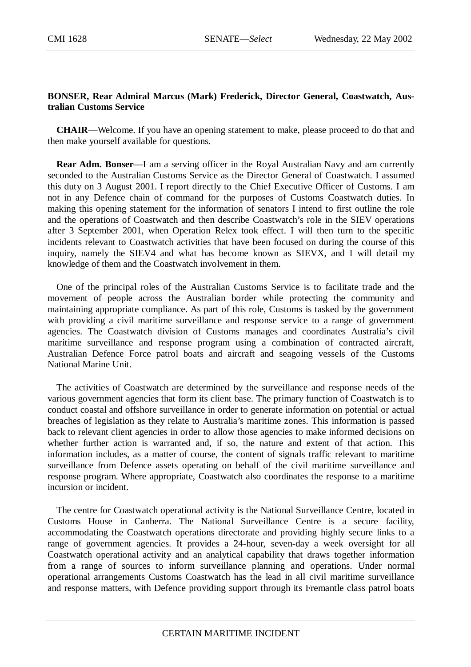## **BONSER, Rear Admiral Marcus (Mark) Frederick, Director General, Coastwatch, Australian Customs Service**

**CHAIR**—Welcome. If you have an opening statement to make, please proceed to do that and then make yourself available for questions.

**Rear Adm. Bonser**—I am a serving officer in the Royal Australian Navy and am currently seconded to the Australian Customs Service as the Director General of Coastwatch. I assumed this duty on 3 August 2001. I report directly to the Chief Executive Officer of Customs. I am not in any Defence chain of command for the purposes of Customs Coastwatch duties. In making this opening statement for the information of senators I intend to first outline the role and the operations of Coastwatch and then describe Coastwatch's role in the SIEV operations after 3 September 2001, when Operation Relex took effect. I will then turn to the specific incidents relevant to Coastwatch activities that have been focused on during the course of this inquiry, namely the SIEV4 and what has become known as SIEVX, and I will detail my knowledge of them and the Coastwatch involvement in them.

One of the principal roles of the Australian Customs Service is to facilitate trade and the movement of people across the Australian border while protecting the community and maintaining appropriate compliance. As part of this role, Customs is tasked by the government with providing a civil maritime surveillance and response service to a range of government agencies. The Coastwatch division of Customs manages and coordinates Australia's civil maritime surveillance and response program using a combination of contracted aircraft, Australian Defence Force patrol boats and aircraft and seagoing vessels of the Customs National Marine Unit.

The activities of Coastwatch are determined by the surveillance and response needs of the various government agencies that form its client base. The primary function of Coastwatch is to conduct coastal and offshore surveillance in order to generate information on potential or actual breaches of legislation as they relate to Australia's maritime zones. This information is passed back to relevant client agencies in order to allow those agencies to make informed decisions on whether further action is warranted and, if so, the nature and extent of that action. This information includes, as a matter of course, the content of signals traffic relevant to maritime surveillance from Defence assets operating on behalf of the civil maritime surveillance and response program. Where appropriate, Coastwatch also coordinates the response to a maritime incursion or incident.

The centre for Coastwatch operational activity is the National Surveillance Centre, located in Customs House in Canberra. The National Surveillance Centre is a secure facility, accommodating the Coastwatch operations directorate and providing highly secure links to a range of government agencies. It provides a 24-hour, seven-day a week oversight for all Coastwatch operational activity and an analytical capability that draws together information from a range of sources to inform surveillance planning and operations. Under normal operational arrangements Customs Coastwatch has the lead in all civil maritime surveillance and response matters, with Defence providing support through its Fremantle class patrol boats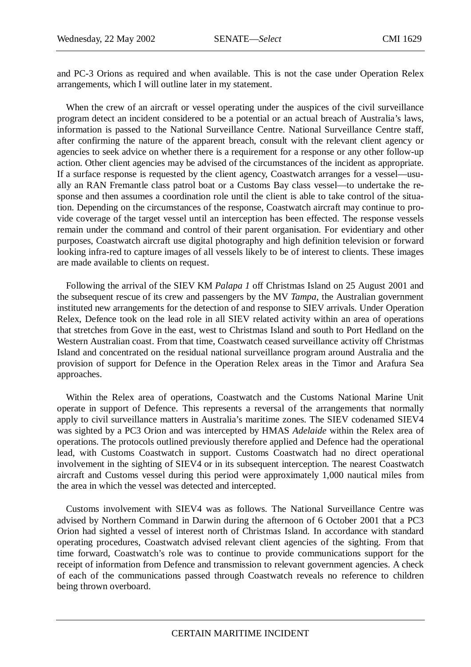and PC-3 Orions as required and when available. This is not the case under Operation Relex arrangements, which I will outline later in my statement.

When the crew of an aircraft or vessel operating under the auspices of the civil surveillance program detect an incident considered to be a potential or an actual breach of Australia's laws, information is passed to the National Surveillance Centre. National Surveillance Centre staff, after confirming the nature of the apparent breach, consult with the relevant client agency or agencies to seek advice on whether there is a requirement for a response or any other follow-up action. Other client agencies may be advised of the circumstances of the incident as appropriate. If a surface response is requested by the client agency, Coastwatch arranges for a vessel—usually an RAN Fremantle class patrol boat or a Customs Bay class vessel—to undertake the response and then assumes a coordination role until the client is able to take control of the situation. Depending on the circumstances of the response, Coastwatch aircraft may continue to provide coverage of the target vessel until an interception has been effected. The response vessels remain under the command and control of their parent organisation. For evidentiary and other purposes, Coastwatch aircraft use digital photography and high definition television or forward looking infra-red to capture images of all vessels likely to be of interest to clients. These images are made available to clients on request.

Following the arrival of the SIEV KM *Palapa 1* off Christmas Island on 25 August 2001 and the subsequent rescue of its crew and passengers by the MV *Tampa*, the Australian government instituted new arrangements for the detection of and response to SIEV arrivals. Under Operation Relex, Defence took on the lead role in all SIEV related activity within an area of operations that stretches from Gove in the east, west to Christmas Island and south to Port Hedland on the Western Australian coast. From that time, Coastwatch ceased surveillance activity off Christmas Island and concentrated on the residual national surveillance program around Australia and the provision of support for Defence in the Operation Relex areas in the Timor and Arafura Sea approaches.

Within the Relex area of operations, Coastwatch and the Customs National Marine Unit operate in support of Defence. This represents a reversal of the arrangements that normally apply to civil surveillance matters in Australia's maritime zones. The SIEV codenamed SIEV4 was sighted by a PC3 Orion and was intercepted by HMAS *Adelaide* within the Relex area of operations. The protocols outlined previously therefore applied and Defence had the operational lead, with Customs Coastwatch in support. Customs Coastwatch had no direct operational involvement in the sighting of SIEV4 or in its subsequent interception. The nearest Coastwatch aircraft and Customs vessel during this period were approximately 1,000 nautical miles from the area in which the vessel was detected and intercepted.

Customs involvement with SIEV4 was as follows. The National Surveillance Centre was advised by Northern Command in Darwin during the afternoon of 6 October 2001 that a PC3 Orion had sighted a vessel of interest north of Christmas Island. In accordance with standard operating procedures, Coastwatch advised relevant client agencies of the sighting. From that time forward, Coastwatch's role was to continue to provide communications support for the receipt of information from Defence and transmission to relevant government agencies. A check of each of the communications passed through Coastwatch reveals no reference to children being thrown overboard.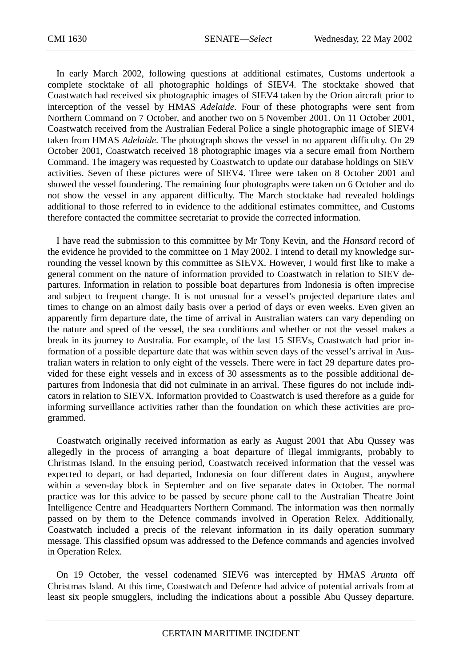In early March 2002, following questions at additional estimates, Customs undertook a complete stocktake of all photographic holdings of SIEV4. The stocktake showed that Coastwatch had received six photographic images of SIEV4 taken by the Orion aircraft prior to interception of the vessel by HMAS *Adelaide*. Four of these photographs were sent from Northern Command on 7 October, and another two on 5 November 2001. On 11 October 2001, Coastwatch received from the Australian Federal Police a single photographic image of SIEV4 taken from HMAS *Adelaide*. The photograph shows the vessel in no apparent difficulty. On 29 October 2001, Coastwatch received 18 photographic images via a secure email from Northern Command. The imagery was requested by Coastwatch to update our database holdings on SIEV activities. Seven of these pictures were of SIEV4. Three were taken on 8 October 2001 and showed the vessel foundering. The remaining four photographs were taken on 6 October and do not show the vessel in any apparent difficulty. The March stocktake had revealed holdings additional to those referred to in evidence to the additional estimates committee, and Customs therefore contacted the committee secretariat to provide the corrected information.

I have read the submission to this committee by Mr Tony Kevin, and the *Hansard* record of the evidence he provided to the committee on 1 May 2002. I intend to detail my knowledge surrounding the vessel known by this committee as SIEVX. However, I would first like to make a general comment on the nature of information provided to Coastwatch in relation to SIEV departures. Information in relation to possible boat departures from Indonesia is often imprecise and subject to frequent change. It is not unusual for a vessel's projected departure dates and times to change on an almost daily basis over a period of days or even weeks. Even given an apparently firm departure date, the time of arrival in Australian waters can vary depending on the nature and speed of the vessel, the sea conditions and whether or not the vessel makes a break in its journey to Australia. For example, of the last 15 SIEVs, Coastwatch had prior information of a possible departure date that was within seven days of the vessel's arrival in Australian waters in relation to only eight of the vessels. There were in fact 29 departure dates provided for these eight vessels and in excess of 30 assessments as to the possible additional departures from Indonesia that did not culminate in an arrival. These figures do not include indicators in relation to SIEVX. Information provided to Coastwatch is used therefore as a guide for informing surveillance activities rather than the foundation on which these activities are programmed.

Coastwatch originally received information as early as August 2001 that Abu Qussey was allegedly in the process of arranging a boat departure of illegal immigrants, probably to Christmas Island. In the ensuing period, Coastwatch received information that the vessel was expected to depart, or had departed, Indonesia on four different dates in August, anywhere within a seven-day block in September and on five separate dates in October. The normal practice was for this advice to be passed by secure phone call to the Australian Theatre Joint Intelligence Centre and Headquarters Northern Command. The information was then normally passed on by them to the Defence commands involved in Operation Relex. Additionally, Coastwatch included a precis of the relevant information in its daily operation summary message. This classified opsum was addressed to the Defence commands and agencies involved in Operation Relex.

On 19 October, the vessel codenamed SIEV6 was intercepted by HMAS *Arunta* off Christmas Island. At this time, Coastwatch and Defence had advice of potential arrivals from at least six people smugglers, including the indications about a possible Abu Qussey departure.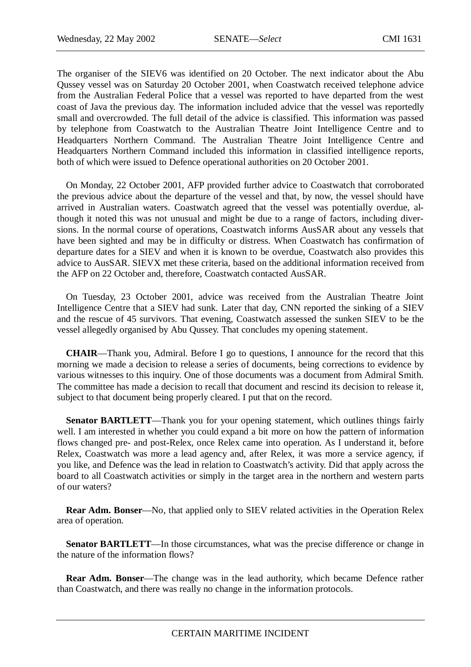The organiser of the SIEV6 was identified on 20 October. The next indicator about the Abu Qussey vessel was on Saturday 20 October 2001, when Coastwatch received telephone advice from the Australian Federal Police that a vessel was reported to have departed from the west coast of Java the previous day. The information included advice that the vessel was reportedly small and overcrowded. The full detail of the advice is classified. This information was passed by telephone from Coastwatch to the Australian Theatre Joint Intelligence Centre and to Headquarters Northern Command. The Australian Theatre Joint Intelligence Centre and Headquarters Northern Command included this information in classified intelligence reports, both of which were issued to Defence operational authorities on 20 October 2001.

On Monday, 22 October 2001, AFP provided further advice to Coastwatch that corroborated the previous advice about the departure of the vessel and that, by now, the vessel should have arrived in Australian waters. Coastwatch agreed that the vessel was potentially overdue, although it noted this was not unusual and might be due to a range of factors, including diversions. In the normal course of operations, Coastwatch informs AusSAR about any vessels that have been sighted and may be in difficulty or distress. When Coastwatch has confirmation of departure dates for a SIEV and when it is known to be overdue, Coastwatch also provides this advice to AusSAR. SIEVX met these criteria, based on the additional information received from the AFP on 22 October and, therefore, Coastwatch contacted AusSAR.

On Tuesday, 23 October 2001, advice was received from the Australian Theatre Joint Intelligence Centre that a SIEV had sunk. Later that day, CNN reported the sinking of a SIEV and the rescue of 45 survivors. That evening, Coastwatch assessed the sunken SIEV to be the vessel allegedly organised by Abu Qussey. That concludes my opening statement.

**CHAIR**—Thank you, Admiral. Before I go to questions, I announce for the record that this morning we made a decision to release a series of documents, being corrections to evidence by various witnesses to this inquiry. One of those documents was a document from Admiral Smith. The committee has made a decision to recall that document and rescind its decision to release it, subject to that document being properly cleared. I put that on the record.

**Senator BARTLETT—Thank you for your opening statement, which outlines things fairly** well. I am interested in whether you could expand a bit more on how the pattern of information flows changed pre- and post-Relex, once Relex came into operation. As I understand it, before Relex, Coastwatch was more a lead agency and, after Relex, it was more a service agency, if you like, and Defence was the lead in relation to Coastwatch's activity. Did that apply across the board to all Coastwatch activities or simply in the target area in the northern and western parts of our waters?

**Rear Adm. Bonser**—No, that applied only to SIEV related activities in the Operation Relex area of operation.

**Senator BARTLETT—In** those circumstances, what was the precise difference or change in the nature of the information flows?

**Rear Adm. Bonser**—The change was in the lead authority, which became Defence rather than Coastwatch, and there was really no change in the information protocols.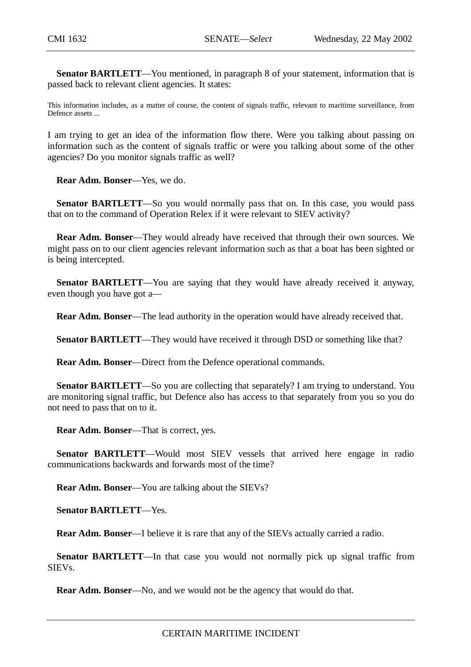**Senator BARTLETT**—You mentioned, in paragraph 8 of your statement, information that is passed back to relevant client agencies. It states:

This information includes, as a matter of course, the content of signals traffic, relevant to maritime surveillance, from Defence assets ...

I am trying to get an idea of the information flow there. Were you talking about passing on information such as the content of signals traffic or were you talking about some of the other agencies? Do you monitor signals traffic as well?

**Rear Adm. Bonser**—Yes, we do.

**Senator BARTLETT**—So you would normally pass that on. In this case, you would pass that on to the command of Operation Relex if it were relevant to SIEV activity?

**Rear Adm. Bonser**—They would already have received that through their own sources. We might pass on to our client agencies relevant information such as that a boat has been sighted or is being intercepted.

**Senator BARTLETT—You** are saying that they would have already received it anyway, even though you have got a—

**Rear Adm. Bonser**—The lead authority in the operation would have already received that.

**Senator BARTLETT—They would have received it through DSD or something like that?** 

**Rear Adm. Bonser**—Direct from the Defence operational commands.

**Senator BARTLETT—So** you are collecting that separately? I am trying to understand. You are monitoring signal traffic, but Defence also has access to that separately from you so you do not need to pass that on to it.

**Rear Adm. Bonser**—That is correct, yes.

**Senator BARTLETT**—Would most SIEV vessels that arrived here engage in radio communications backwards and forwards most of the time?

**Rear Adm. Bonser**—You are talking about the SIEVs?

**Senator BARTLETT**—Yes.

**Rear Adm. Bonser**—I believe it is rare that any of the SIEVs actually carried a radio.

**Senator BARTLETT—In** that case you would not normally pick up signal traffic from SIEVs.

**Rear Adm. Bonser**—No, and we would not be the agency that would do that.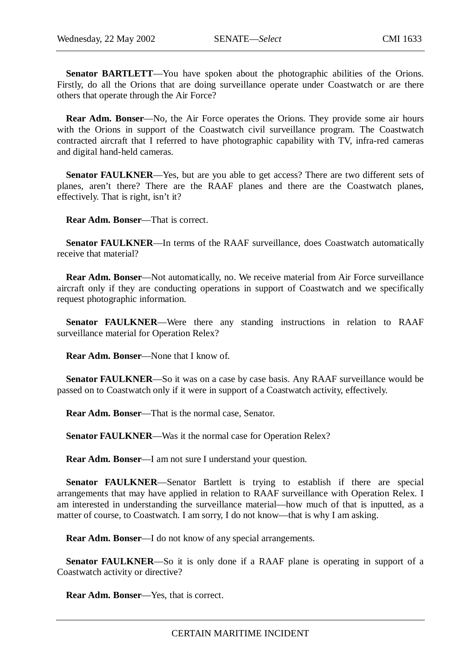**Senator BARTLETT—You** have spoken about the photographic abilities of the Orions. Firstly, do all the Orions that are doing surveillance operate under Coastwatch or are there others that operate through the Air Force?

**Rear Adm. Bonser**—No, the Air Force operates the Orions. They provide some air hours with the Orions in support of the Coastwatch civil surveillance program. The Coastwatch contracted aircraft that I referred to have photographic capability with TV, infra-red cameras and digital hand-held cameras.

**Senator FAULKNER—Yes, but are you able to get access? There are two different sets of** planes, aren't there? There are the RAAF planes and there are the Coastwatch planes, effectively. That is right, isn't it?

**Rear Adm. Bonser**—That is correct.

**Senator FAULKNER—In terms of the RAAF surveillance, does Coastwatch automatically** receive that material?

**Rear Adm. Bonser**—Not automatically, no. We receive material from Air Force surveillance aircraft only if they are conducting operations in support of Coastwatch and we specifically request photographic information.

**Senator FAULKNER**—Were there any standing instructions in relation to RAAF surveillance material for Operation Relex?

**Rear Adm. Bonser**—None that I know of.

**Senator FAULKNER**—So it was on a case by case basis. Any RAAF surveillance would be passed on to Coastwatch only if it were in support of a Coastwatch activity, effectively.

**Rear Adm. Bonser**—That is the normal case, Senator.

**Senator FAULKNER**—Was it the normal case for Operation Relex?

**Rear Adm. Bonser**—I am not sure I understand your question.

**Senator FAULKNER—Senator Bartlett is trying to establish if there are special** arrangements that may have applied in relation to RAAF surveillance with Operation Relex. I am interested in understanding the surveillance material—how much of that is inputted, as a matter of course, to Coastwatch. I am sorry, I do not know—that is why I am asking.

**Rear Adm. Bonser**—I do not know of any special arrangements.

**Senator FAULKNER**—So it is only done if a RAAF plane is operating in support of a Coastwatch activity or directive?

**Rear Adm. Bonser**—Yes, that is correct.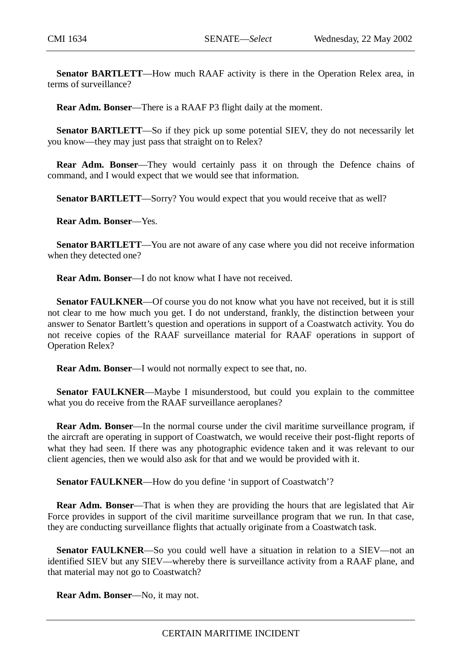**Senator BARTLETT**—How much RAAF activity is there in the Operation Relex area, in terms of surveillance?

**Rear Adm. Bonser**—There is a RAAF P3 flight daily at the moment.

**Senator BARTLETT**—So if they pick up some potential SIEV, they do not necessarily let you know—they may just pass that straight on to Relex?

**Rear Adm. Bonser**—They would certainly pass it on through the Defence chains of command, and I would expect that we would see that information.

**Senator BARTLETT—Sorry?** You would expect that you would receive that as well?

**Rear Adm. Bonser**—Yes.

**Senator BARTLETT**—You are not aware of any case where you did not receive information when they detected one?

**Rear Adm. Bonser**—I do not know what I have not received.

Senator FAULKNER—Of course you do not know what you have not received, but it is still not clear to me how much you get. I do not understand, frankly, the distinction between your answer to Senator Bartlett's question and operations in support of a Coastwatch activity. You do not receive copies of the RAAF surveillance material for RAAF operations in support of Operation Relex?

**Rear Adm. Bonser**—I would not normally expect to see that, no.

**Senator FAULKNER**—Maybe I misunderstood, but could you explain to the committee what you do receive from the RAAF surveillance aeroplanes?

**Rear Adm. Bonser**—In the normal course under the civil maritime surveillance program, if the aircraft are operating in support of Coastwatch, we would receive their post-flight reports of what they had seen. If there was any photographic evidence taken and it was relevant to our client agencies, then we would also ask for that and we would be provided with it.

Senator FAULKNER—How do you define 'in support of Coastwatch'?

**Rear Adm. Bonser**—That is when they are providing the hours that are legislated that Air Force provides in support of the civil maritime surveillance program that we run. In that case, they are conducting surveillance flights that actually originate from a Coastwatch task.

**Senator FAULKNER—So** you could well have a situation in relation to a SIEV—not an identified SIEV but any SIEV—whereby there is surveillance activity from a RAAF plane, and that material may not go to Coastwatch?

**Rear Adm. Bonser**—No, it may not.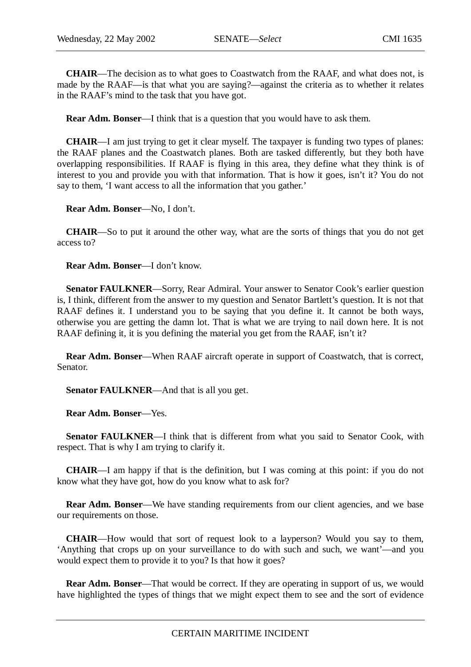**CHAIR**—The decision as to what goes to Coastwatch from the RAAF, and what does not, is made by the RAAF—is that what you are saying?—against the criteria as to whether it relates in the RAAF's mind to the task that you have got.

**Rear Adm. Bonser**—I think that is a question that you would have to ask them.

**CHAIR**—I am just trying to get it clear myself. The taxpayer is funding two types of planes: the RAAF planes and the Coastwatch planes. Both are tasked differently, but they both have overlapping responsibilities. If RAAF is flying in this area, they define what they think is of interest to you and provide you with that information. That is how it goes, isn't it? You do not say to them, 'I want access to all the information that you gather.'

**Rear Adm. Bonser**—No, I don't.

**CHAIR**—So to put it around the other way, what are the sorts of things that you do not get access to?

**Rear Adm. Bonser**—I don't know.

**Senator FAULKNER**—Sorry, Rear Admiral. Your answer to Senator Cook's earlier question is, I think, different from the answer to my question and Senator Bartlett's question. It is not that RAAF defines it. I understand you to be saying that you define it. It cannot be both ways, otherwise you are getting the damn lot. That is what we are trying to nail down here. It is not RAAF defining it, it is you defining the material you get from the RAAF, isn't it?

**Rear Adm. Bonser**—When RAAF aircraft operate in support of Coastwatch, that is correct, Senator.

**Senator FAULKNER**—And that is all you get.

**Rear Adm. Bonser**—Yes.

**Senator FAULKNER**—I think that is different from what you said to Senator Cook, with respect. That is why I am trying to clarify it.

**CHAIR**—I am happy if that is the definition, but I was coming at this point: if you do not know what they have got, how do you know what to ask for?

**Rear Adm. Bonser—We have standing requirements from our client agencies, and we base** our requirements on those.

**CHAIR**—How would that sort of request look to a layperson? Would you say to them, 'Anything that crops up on your surveillance to do with such and such, we want'—and you would expect them to provide it to you? Is that how it goes?

**Rear Adm. Bonser—That would be correct. If they are operating in support of us, we would** have highlighted the types of things that we might expect them to see and the sort of evidence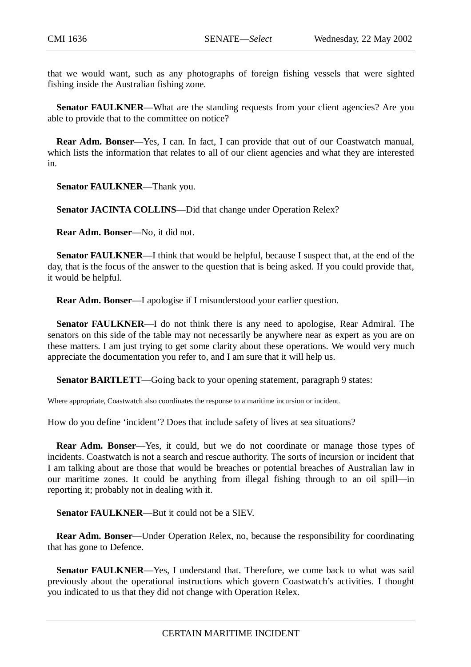that we would want, such as any photographs of foreign fishing vessels that were sighted fishing inside the Australian fishing zone.

**Senator FAULKNER—What are the standing requests from your client agencies? Are you** able to provide that to the committee on notice?

**Rear Adm. Bonser**—Yes, I can. In fact, I can provide that out of our Coastwatch manual, which lists the information that relates to all of our client agencies and what they are interested in.

**Senator FAULKNER**—Thank you.

**Senator JACINTA COLLINS**—Did that change under Operation Relex?

**Rear Adm. Bonser**—No, it did not.

**Senator FAULKNER—I** think that would be helpful, because I suspect that, at the end of the day, that is the focus of the answer to the question that is being asked. If you could provide that, it would be helpful.

**Rear Adm. Bonser**—I apologise if I misunderstood your earlier question.

**Senator FAULKNER**—I do not think there is any need to apologise, Rear Admiral. The senators on this side of the table may not necessarily be anywhere near as expert as you are on these matters. I am just trying to get some clarity about these operations. We would very much appreciate the documentation you refer to, and I am sure that it will help us.

**Senator BARTLETT—Going back to your opening statement, paragraph 9 states:** 

Where appropriate, Coastwatch also coordinates the response to a maritime incursion or incident.

How do you define 'incident'? Does that include safety of lives at sea situations?

**Rear Adm. Bonser**—Yes, it could, but we do not coordinate or manage those types of incidents. Coastwatch is not a search and rescue authority. The sorts of incursion or incident that I am talking about are those that would be breaches or potential breaches of Australian law in our maritime zones. It could be anything from illegal fishing through to an oil spill—in reporting it; probably not in dealing with it.

**Senator FAULKNER**—But it could not be a SIEV.

**Rear Adm. Bonser**—Under Operation Relex, no, because the responsibility for coordinating that has gone to Defence.

**Senator FAULKNER—Yes, I understand that. Therefore, we come back to what was said** previously about the operational instructions which govern Coastwatch's activities. I thought you indicated to us that they did not change with Operation Relex.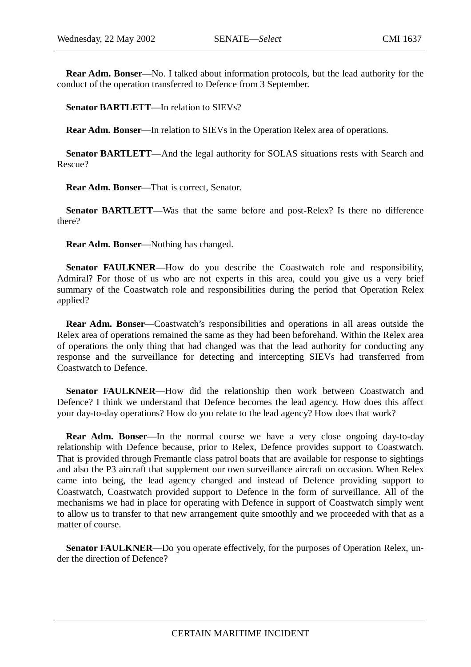**Rear Adm. Bonser**—No. I talked about information protocols, but the lead authority for the conduct of the operation transferred to Defence from 3 September.

**Senator BARTLETT**—In relation to SIEVs?

**Rear Adm. Bonser**—In relation to SIEVs in the Operation Relex area of operations.

**Senator BARTLETT**—And the legal authority for SOLAS situations rests with Search and Rescue?

**Rear Adm. Bonser**—That is correct, Senator.

**Senator BARTLETT**—Was that the same before and post-Relex? Is there no difference there?

**Rear Adm. Bonser**—Nothing has changed.

**Senator FAULKNER—How** do you describe the Coastwatch role and responsibility, Admiral? For those of us who are not experts in this area, could you give us a very brief summary of the Coastwatch role and responsibilities during the period that Operation Relex applied?

**Rear Adm. Bonser**—Coastwatch's responsibilities and operations in all areas outside the Relex area of operations remained the same as they had been beforehand. Within the Relex area of operations the only thing that had changed was that the lead authority for conducting any response and the surveillance for detecting and intercepting SIEVs had transferred from Coastwatch to Defence.

**Senator FAULKNER**—How did the relationship then work between Coastwatch and Defence? I think we understand that Defence becomes the lead agency. How does this affect your day-to-day operations? How do you relate to the lead agency? How does that work?

**Rear Adm. Bonser—In** the normal course we have a very close ongoing day-to-day relationship with Defence because, prior to Relex, Defence provides support to Coastwatch. That is provided through Fremantle class patrol boats that are available for response to sightings and also the P3 aircraft that supplement our own surveillance aircraft on occasion. When Relex came into being, the lead agency changed and instead of Defence providing support to Coastwatch, Coastwatch provided support to Defence in the form of surveillance. All of the mechanisms we had in place for operating with Defence in support of Coastwatch simply went to allow us to transfer to that new arrangement quite smoothly and we proceeded with that as a matter of course.

**Senator FAULKNER—Do** you operate effectively, for the purposes of Operation Relex, under the direction of Defence?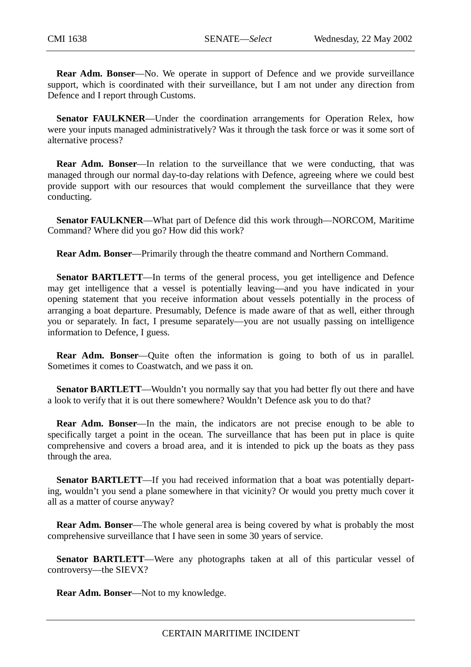**Rear Adm. Bonser**—No. We operate in support of Defence and we provide surveillance support, which is coordinated with their surveillance, but I am not under any direction from Defence and I report through Customs.

**Senator FAULKNER**—Under the coordination arrangements for Operation Relex, how were your inputs managed administratively? Was it through the task force or was it some sort of alternative process?

**Rear Adm. Bonser**—In relation to the surveillance that we were conducting, that was managed through our normal day-to-day relations with Defence, agreeing where we could best provide support with our resources that would complement the surveillance that they were conducting.

**Senator FAULKNER**—What part of Defence did this work through—NORCOM, Maritime Command? Where did you go? How did this work?

**Rear Adm. Bonser**—Primarily through the theatre command and Northern Command.

**Senator BARTLETT—In** terms of the general process, you get intelligence and Defence may get intelligence that a vessel is potentially leaving—and you have indicated in your opening statement that you receive information about vessels potentially in the process of arranging a boat departure. Presumably, Defence is made aware of that as well, either through you or separately. In fact, I presume separately—you are not usually passing on intelligence information to Defence, I guess.

**Rear Adm. Bonser**—Quite often the information is going to both of us in parallel. Sometimes it comes to Coastwatch, and we pass it on.

**Senator BARTLETT—Wouldn't you normally say that you had better fly out there and have** a look to verify that it is out there somewhere? Wouldn't Defence ask you to do that?

**Rear Adm. Bonser**—In the main, the indicators are not precise enough to be able to specifically target a point in the ocean. The surveillance that has been put in place is quite comprehensive and covers a broad area, and it is intended to pick up the boats as they pass through the area.

**Senator BARTLETT**—If you had received information that a boat was potentially departing, wouldn't you send a plane somewhere in that vicinity? Or would you pretty much cover it all as a matter of course anyway?

**Rear Adm. Bonser—The whole general area is being covered by what is probably the most** comprehensive surveillance that I have seen in some 30 years of service.

**Senator BARTLETT**—Were any photographs taken at all of this particular vessel of controversy—the SIEVX?

**Rear Adm. Bonser**—Not to my knowledge.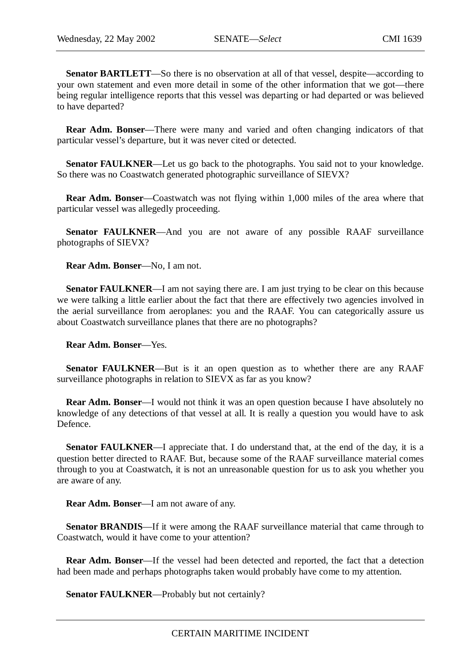**Senator BARTLETT**—So there is no observation at all of that vessel, despite—according to your own statement and even more detail in some of the other information that we got—there being regular intelligence reports that this vessel was departing or had departed or was believed to have departed?

**Rear Adm. Bonser**—There were many and varied and often changing indicators of that particular vessel's departure, but it was never cited or detected.

**Senator FAULKNER—Let us go back to the photographs. You said not to your knowledge.** So there was no Coastwatch generated photographic surveillance of SIEVX?

**Rear Adm. Bonser**—Coastwatch was not flying within 1,000 miles of the area where that particular vessel was allegedly proceeding.

**Senator FAULKNER—And you are not aware of any possible RAAF surveillance** photographs of SIEVX?

**Rear Adm. Bonser**—No, I am not.

**Senator FAULKNER—I** am not saying there are. I am just trying to be clear on this because we were talking a little earlier about the fact that there are effectively two agencies involved in the aerial surveillance from aeroplanes: you and the RAAF. You can categorically assure us about Coastwatch surveillance planes that there are no photographs?

**Rear Adm. Bonser**—Yes.

**Senator FAULKNER—But** is it an open question as to whether there are any RAAF surveillance photographs in relation to SIEVX as far as you know?

**Rear Adm. Bonser**—I would not think it was an open question because I have absolutely no knowledge of any detections of that vessel at all. It is really a question you would have to ask Defence.

**Senator FAULKNER—I** appreciate that. I do understand that, at the end of the day, it is a question better directed to RAAF. But, because some of the RAAF surveillance material comes through to you at Coastwatch, it is not an unreasonable question for us to ask you whether you are aware of any.

**Rear Adm. Bonser**—I am not aware of any.

**Senator BRANDIS**—If it were among the RAAF surveillance material that came through to Coastwatch, would it have come to your attention?

**Rear Adm. Bonser**—If the vessel had been detected and reported, the fact that a detection had been made and perhaps photographs taken would probably have come to my attention.

**Senator FAULKNER**—Probably but not certainly?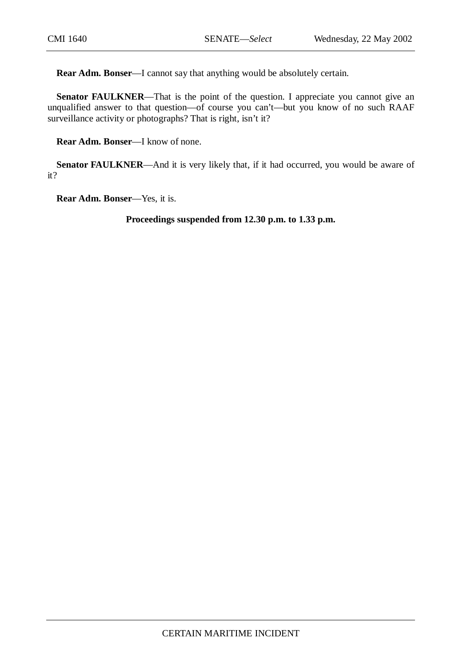**Rear Adm. Bonser**—I cannot say that anything would be absolutely certain.

**Senator FAULKNER—That** is the point of the question. I appreciate you cannot give an unqualified answer to that question—of course you can't—but you know of no such RAAF surveillance activity or photographs? That is right, isn't it?

**Rear Adm. Bonser**—I know of none.

Senator FAULKNER—And it is very likely that, if it had occurred, you would be aware of it?

**Rear Adm. Bonser**—Yes, it is.

**Proceedings suspended from 12.30 p.m. to 1.33 p.m.**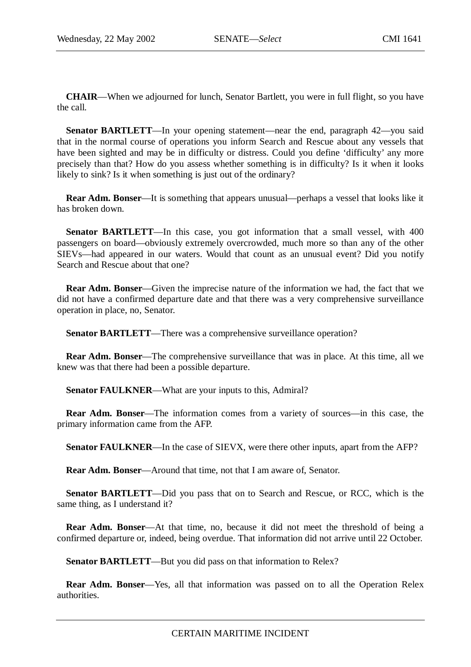**CHAIR**—When we adjourned for lunch, Senator Bartlett, you were in full flight, so you have the call.

**Senator BARTLETT**—In your opening statement—near the end, paragraph 42—you said that in the normal course of operations you inform Search and Rescue about any vessels that have been sighted and may be in difficulty or distress. Could you define 'difficulty' any more precisely than that? How do you assess whether something is in difficulty? Is it when it looks likely to sink? Is it when something is just out of the ordinary?

**Rear Adm. Bonser**—It is something that appears unusual—perhaps a vessel that looks like it has broken down.

**Senator BARTLETT**—In this case, you got information that a small vessel, with 400 passengers on board—obviously extremely overcrowded, much more so than any of the other SIEVs—had appeared in our waters. Would that count as an unusual event? Did you notify Search and Rescue about that one?

**Rear Adm. Bonser**—Given the imprecise nature of the information we had, the fact that we did not have a confirmed departure date and that there was a very comprehensive surveillance operation in place, no, Senator.

**Senator BARTLETT—There was a comprehensive surveillance operation?** 

**Rear Adm. Bonser**—The comprehensive surveillance that was in place. At this time, all we knew was that there had been a possible departure.

**Senator FAULKNER**—What are your inputs to this, Admiral?

**Rear Adm. Bonser**—The information comes from a variety of sources—in this case, the primary information came from the AFP.

**Senator FAULKNER—In** the case of SIEVX, were there other inputs, apart from the AFP?

**Rear Adm. Bonser**—Around that time, not that I am aware of, Senator.

**Senator BARTLETT**—Did you pass that on to Search and Rescue, or RCC, which is the same thing, as I understand it?

**Rear Adm. Bonser**—At that time, no, because it did not meet the threshold of being a confirmed departure or, indeed, being overdue. That information did not arrive until 22 October.

**Senator BARTLETT**—But you did pass on that information to Relex?

**Rear Adm. Bonser**—Yes, all that information was passed on to all the Operation Relex authorities.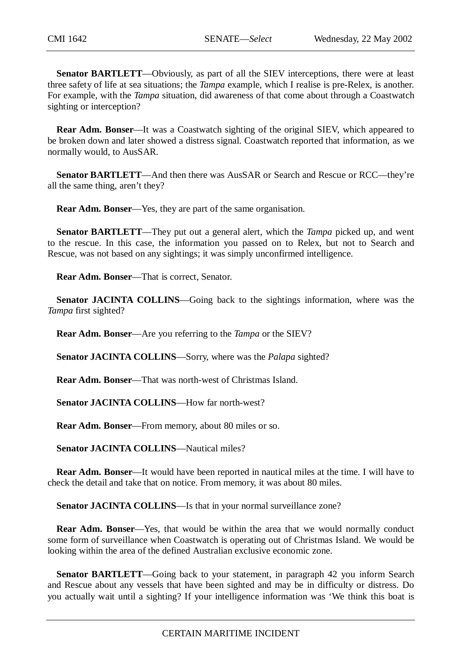**Senator BARTLETT**—Obviously, as part of all the SIEV interceptions, there were at least three safety of life at sea situations; the *Tampa* example, which I realise is pre-Relex, is another. For example, with the *Tampa* situation, did awareness of that come about through a Coastwatch sighting or interception?

**Rear Adm. Bonser**—It was a Coastwatch sighting of the original SIEV, which appeared to be broken down and later showed a distress signal. Coastwatch reported that information, as we normally would, to AusSAR.

**Senator BARTLETT**—And then there was AusSAR or Search and Rescue or RCC—they're all the same thing, aren't they?

**Rear Adm. Bonser**—Yes, they are part of the same organisation.

**Senator BARTLETT**—They put out a general alert, which the *Tampa* picked up, and went to the rescue. In this case, the information you passed on to Relex, but not to Search and Rescue, was not based on any sightings; it was simply unconfirmed intelligence.

**Rear Adm. Bonser**—That is correct, Senator.

**Senator JACINTA COLLINS**—Going back to the sightings information, where was the *Tampa* first sighted?

**Rear Adm. Bonser**—Are you referring to the *Tampa* or the SIEV?

**Senator JACINTA COLLINS**—Sorry, where was the *Palapa* sighted?

**Rear Adm. Bonser**—That was north-west of Christmas Island.

**Senator JACINTA COLLINS**—How far north-west?

**Rear Adm. Bonser**—From memory, about 80 miles or so.

**Senator JACINTA COLLINS—Nautical miles?** 

**Rear Adm. Bonser**—It would have been reported in nautical miles at the time. I will have to check the detail and take that on notice. From memory, it was about 80 miles.

Senator JACINTA COLLINS—Is that in your normal surveillance zone?

**Rear Adm. Bonser**—Yes, that would be within the area that we would normally conduct some form of surveillance when Coastwatch is operating out of Christmas Island. We would be looking within the area of the defined Australian exclusive economic zone.

**Senator BARTLETT**—Going back to your statement, in paragraph 42 you inform Search and Rescue about any vessels that have been sighted and may be in difficulty or distress. Do you actually wait until a sighting? If your intelligence information was 'We think this boat is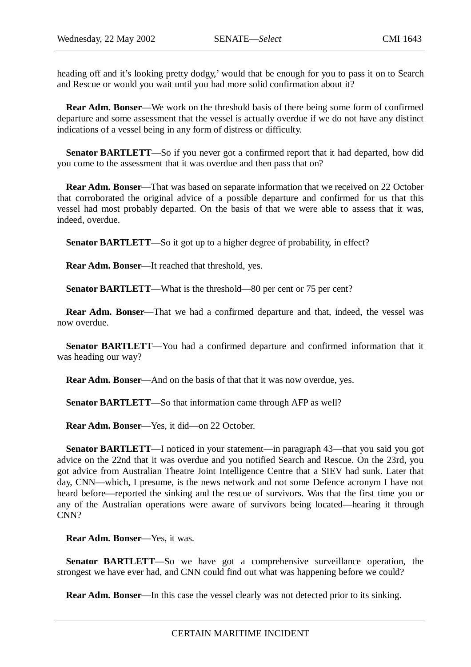heading off and it's looking pretty dodgy,' would that be enough for you to pass it on to Search and Rescue or would you wait until you had more solid confirmation about it?

**Rear Adm. Bonser**—We work on the threshold basis of there being some form of confirmed departure and some assessment that the vessel is actually overdue if we do not have any distinct indications of a vessel being in any form of distress or difficulty.

**Senator BARTLETT**—So if you never got a confirmed report that it had departed, how did you come to the assessment that it was overdue and then pass that on?

**Rear Adm. Bonser**—That was based on separate information that we received on 22 October that corroborated the original advice of a possible departure and confirmed for us that this vessel had most probably departed. On the basis of that we were able to assess that it was, indeed, overdue.

**Senator BARTLETT—So** it got up to a higher degree of probability, in effect?

**Rear Adm. Bonser**—It reached that threshold, yes.

**Senator BARTLETT—What is the threshold—80 per cent or 75 per cent?** 

**Rear Adm. Bonser**—That we had a confirmed departure and that, indeed, the vessel was now overdue.

**Senator BARTLETT**—You had a confirmed departure and confirmed information that it was heading our way?

**Rear Adm. Bonser**—And on the basis of that that it was now overdue, yes.

**Senator BARTLETT**—So that information came through AFP as well?

**Rear Adm. Bonser**—Yes, it did—on 22 October.

**Senator BARTLETT**—I noticed in your statement—in paragraph 43—that you said you got advice on the 22nd that it was overdue and you notified Search and Rescue. On the 23rd, you got advice from Australian Theatre Joint Intelligence Centre that a SIEV had sunk. Later that day, CNN—which, I presume, is the news network and not some Defence acronym I have not heard before—reported the sinking and the rescue of survivors. Was that the first time you or any of the Australian operations were aware of survivors being located—hearing it through CNN?

**Rear Adm. Bonser**—Yes, it was.

**Senator BARTLETT**—So we have got a comprehensive surveillance operation, the strongest we have ever had, and CNN could find out what was happening before we could?

**Rear Adm. Bonser**—In this case the vessel clearly was not detected prior to its sinking.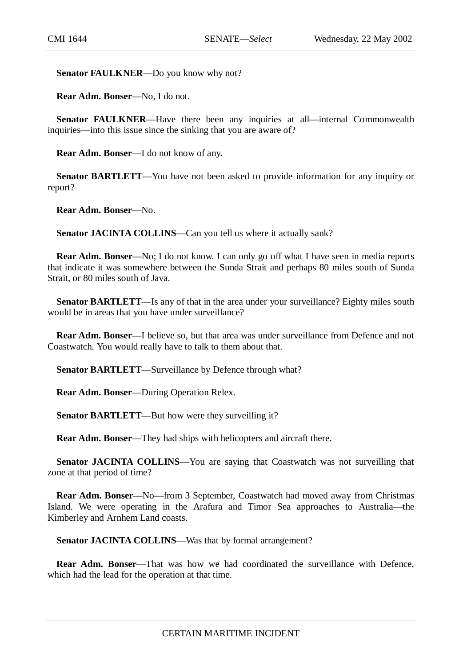Senator FAULKNER-Do you know why not?

**Rear Adm. Bonser**—No, I do not.

**Senator FAULKNER—Have there been any inquiries at all—internal Commonwealth** inquiries—into this issue since the sinking that you are aware of?

**Rear Adm. Bonser**—I do not know of any.

**Senator BARTLETT**—You have not been asked to provide information for any inquiry or report?

**Rear Adm. Bonser**—No.

Senator JACINTA COLLINS-Can you tell us where it actually sank?

**Rear Adm. Bonser**—No; I do not know. I can only go off what I have seen in media reports that indicate it was somewhere between the Sunda Strait and perhaps 80 miles south of Sunda Strait, or 80 miles south of Java.

**Senator BARTLETT—Is any of that in the area under your surveillance? Eighty miles south** would be in areas that you have under surveillance?

**Rear Adm. Bonser**—I believe so, but that area was under surveillance from Defence and not Coastwatch. You would really have to talk to them about that.

**Senator BARTLETT**—Surveillance by Defence through what?

**Rear Adm. Bonser**—During Operation Relex.

**Senator BARTLETT—But how were they surveilling it?** 

**Rear Adm. Bonser**—They had ships with helicopters and aircraft there.

**Senator JACINTA COLLINS**—You are saying that Coastwatch was not surveilling that zone at that period of time?

**Rear Adm. Bonser—No—from 3 September, Coastwatch had moved away from Christmas** Island. We were operating in the Arafura and Timor Sea approaches to Australia—the Kimberley and Arnhem Land coasts.

**Senator JACINTA COLLINS—Was that by formal arrangement?** 

**Rear Adm. Bonser—That was how we had coordinated the surveillance with Defence,** which had the lead for the operation at that time.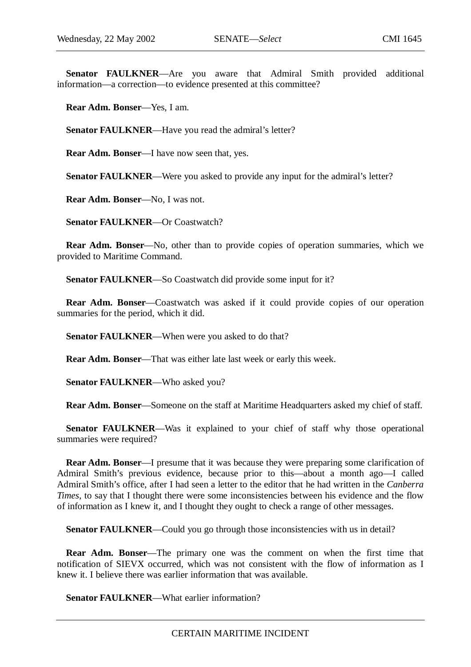**Senator FAULKNER**—Are you aware that Admiral Smith provided additional information—a correction—to evidence presented at this committee?

**Rear Adm. Bonser**—Yes, I am.

**Senator FAULKNER**—Have you read the admiral's letter?

**Rear Adm. Bonser**—I have now seen that, yes.

**Senator FAULKNER—Were you asked to provide any input for the admiral's letter?** 

**Rear Adm. Bonser**—No, I was not.

**Senator FAULKNER**—Or Coastwatch?

**Rear Adm. Bonser**—No, other than to provide copies of operation summaries, which we provided to Maritime Command.

**Senator FAULKNER—So Coastwatch did provide some input for it?** 

**Rear Adm. Bonser**—Coastwatch was asked if it could provide copies of our operation summaries for the period, which it did.

**Senator FAULKNER**—When were you asked to do that?

**Rear Adm. Bonser**—That was either late last week or early this week.

**Senator FAULKNER**—Who asked you?

**Rear Adm. Bonser**—Someone on the staff at Maritime Headquarters asked my chief of staff.

**Senator FAULKNER—Was** it explained to your chief of staff why those operational summaries were required?

**Rear Adm. Bonser**—I presume that it was because they were preparing some clarification of Admiral Smith's previous evidence, because prior to this—about a month ago—I called Admiral Smith's office, after I had seen a letter to the editor that he had written in the *Canberra Times*, to say that I thought there were some inconsistencies between his evidence and the flow of information as I knew it, and I thought they ought to check a range of other messages.

**Senator FAULKNER—Could you go through those inconsistencies with us in detail?** 

**Rear Adm. Bonser**—The primary one was the comment on when the first time that notification of SIEVX occurred, which was not consistent with the flow of information as I knew it. I believe there was earlier information that was available.

**Senator FAULKNER**—What earlier information?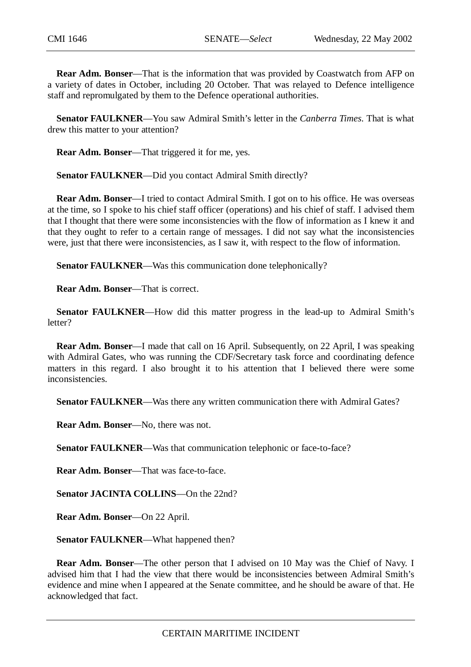**Rear Adm. Bonser**—That is the information that was provided by Coastwatch from AFP on a variety of dates in October, including 20 October. That was relayed to Defence intelligence staff and repromulgated by them to the Defence operational authorities.

**Senator FAULKNER**—You saw Admiral Smith's letter in the *Canberra Times*. That is what drew this matter to your attention?

**Rear Adm. Bonser**—That triggered it for me, yes.

**Senator FAULKNER—Did you contact Admiral Smith directly?** 

**Rear Adm. Bonser**—I tried to contact Admiral Smith. I got on to his office. He was overseas at the time, so I spoke to his chief staff officer (operations) and his chief of staff. I advised them that I thought that there were some inconsistencies with the flow of information as I knew it and that they ought to refer to a certain range of messages. I did not say what the inconsistencies were, just that there were inconsistencies, as I saw it, with respect to the flow of information.

**Senator FAULKNER**—Was this communication done telephonically?

**Rear Adm. Bonser**—That is correct.

**Senator FAULKNER**—How did this matter progress in the lead-up to Admiral Smith's letter?

**Rear Adm. Bonser—I** made that call on 16 April. Subsequently, on 22 April, I was speaking with Admiral Gates, who was running the CDF/Secretary task force and coordinating defence matters in this regard. I also brought it to his attention that I believed there were some inconsistencies.

**Senator FAULKNER**—Was there any written communication there with Admiral Gates?

**Rear Adm. Bonser**—No, there was not.

**Senator FAULKNER—Was that communication telephonic or face-to-face?** 

**Rear Adm. Bonser**—That was face-to-face.

**Senator JACINTA COLLINS**—On the 22nd?

**Rear Adm. Bonser**—On 22 April.

**Senator FAULKNER**—What happened then?

**Rear Adm. Bonser**—The other person that I advised on 10 May was the Chief of Navy. I advised him that I had the view that there would be inconsistencies between Admiral Smith's evidence and mine when I appeared at the Senate committee, and he should be aware of that. He acknowledged that fact.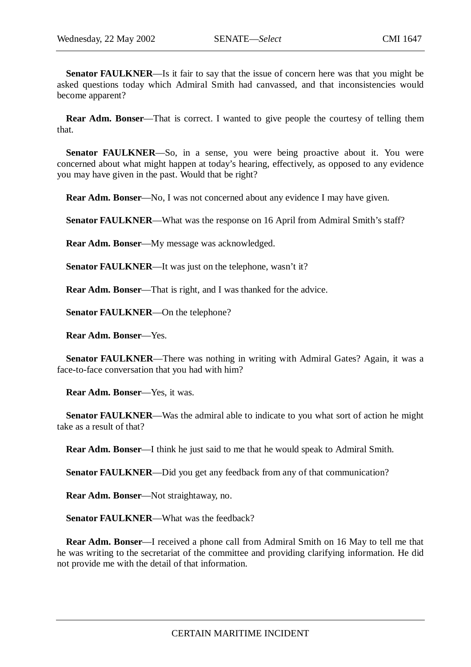**Senator FAULKNER**—Is it fair to say that the issue of concern here was that you might be asked questions today which Admiral Smith had canvassed, and that inconsistencies would become apparent?

**Rear Adm. Bonser—That is correct.** I wanted to give people the courtesy of telling them that.

**Senator FAULKNER**—So, in a sense, you were being proactive about it. You were concerned about what might happen at today's hearing, effectively, as opposed to any evidence you may have given in the past. Would that be right?

**Rear Adm. Bonser**—No, I was not concerned about any evidence I may have given.

**Senator FAULKNER—What was the response on 16 April from Admiral Smith's staff?** 

**Rear Adm. Bonser**—My message was acknowledged.

**Senator FAULKNER—It** was just on the telephone, wasn't it?

**Rear Adm. Bonser**—That is right, and I was thanked for the advice.

**Senator FAULKNER**—On the telephone?

**Rear Adm. Bonser**—Yes.

**Senator FAULKNER—There was nothing in writing with Admiral Gates? Again, it was a** face-to-face conversation that you had with him?

**Rear Adm. Bonser**—Yes, it was.

**Senator FAULKNER**—Was the admiral able to indicate to you what sort of action he might take as a result of that?

**Rear Adm. Bonser**—I think he just said to me that he would speak to Admiral Smith.

**Senator FAULKNER—Did you get any feedback from any of that communication?** 

**Rear Adm. Bonser**—Not straightaway, no.

**Senator FAULKNER—What was the feedback?** 

**Rear Adm. Bonser**—I received a phone call from Admiral Smith on 16 May to tell me that he was writing to the secretariat of the committee and providing clarifying information. He did not provide me with the detail of that information.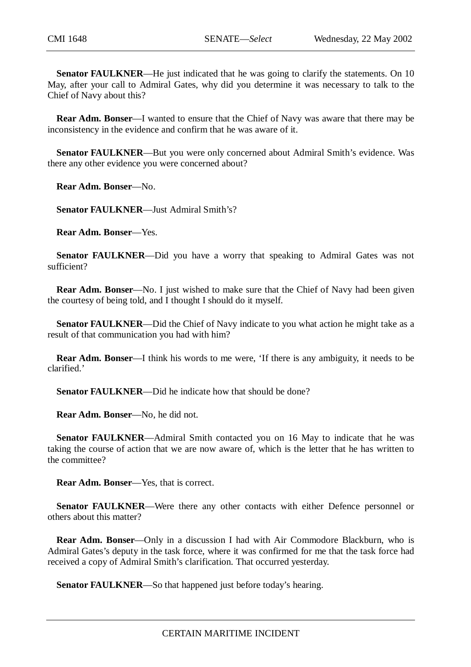**Senator FAULKNER—He** just indicated that he was going to clarify the statements. On 10 May, after your call to Admiral Gates, why did you determine it was necessary to talk to the Chief of Navy about this?

**Rear Adm. Bonser**—I wanted to ensure that the Chief of Navy was aware that there may be inconsistency in the evidence and confirm that he was aware of it.

**Senator FAULKNER**—But you were only concerned about Admiral Smith's evidence. Was there any other evidence you were concerned about?

**Rear Adm. Bonser**—No.

**Senator FAULKNER**—Just Admiral Smith's?

**Rear Adm. Bonser**—Yes.

**Senator FAULKNER**—Did you have a worry that speaking to Admiral Gates was not sufficient?

**Rear Adm. Bonser—No.** I just wished to make sure that the Chief of Navy had been given the courtesy of being told, and I thought I should do it myself.

**Senator FAULKNER—Did the Chief of Navy indicate to you what action he might take as a** result of that communication you had with him?

**Rear Adm. Bonser**—I think his words to me were, 'If there is any ambiguity, it needs to be clarified.'

**Senator FAULKNER—Did he indicate how that should be done?** 

**Rear Adm. Bonser**—No, he did not.

**Senator FAULKNER**—Admiral Smith contacted you on 16 May to indicate that he was taking the course of action that we are now aware of, which is the letter that he has written to the committee?

**Rear Adm. Bonser**—Yes, that is correct.

**Senator FAULKNER—Were there any other contacts with either Defence personnel or** others about this matter?

**Rear Adm. Bonser—Only in a discussion I had with Air Commodore Blackburn, who is** Admiral Gates's deputy in the task force, where it was confirmed for me that the task force had received a copy of Admiral Smith's clarification. That occurred yesterday.

**Senator FAULKNER—So that happened just before today's hearing.**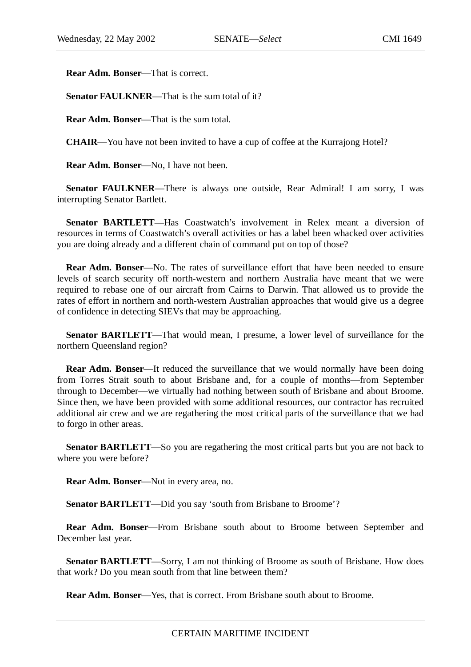**Rear Adm. Bonser**—That is correct.

**Senator FAULKNER—That is the sum total of it?** 

**Rear Adm. Bonser**—That is the sum total.

**CHAIR**—You have not been invited to have a cup of coffee at the Kurrajong Hotel?

**Rear Adm. Bonser**—No, I have not been.

**Senator FAULKNER**—There is always one outside, Rear Admiral! I am sorry, I was interrupting Senator Bartlett.

**Senator BARTLETT**—Has Coastwatch's involvement in Relex meant a diversion of resources in terms of Coastwatch's overall activities or has a label been whacked over activities you are doing already and a different chain of command put on top of those?

**Rear Adm. Bonser—No.** The rates of surveillance effort that have been needed to ensure levels of search security off north-western and northern Australia have meant that we were required to rebase one of our aircraft from Cairns to Darwin. That allowed us to provide the rates of effort in northern and north-western Australian approaches that would give us a degree of confidence in detecting SIEVs that may be approaching.

**Senator BARTLETT**—That would mean, I presume, a lower level of surveillance for the northern Queensland region?

**Rear Adm. Bonser—It** reduced the surveillance that we would normally have been doing from Torres Strait south to about Brisbane and, for a couple of months—from September through to December—we virtually had nothing between south of Brisbane and about Broome. Since then, we have been provided with some additional resources, our contractor has recruited additional air crew and we are regathering the most critical parts of the surveillance that we had to forgo in other areas.

**Senator BARTLETT—So** you are regathering the most critical parts but you are not back to where you were before?

**Rear Adm. Bonser**—Not in every area, no.

**Senator BARTLETT**—Did you say 'south from Brisbane to Broome'?

**Rear Adm. Bonser**—From Brisbane south about to Broome between September and December last year.

**Senator BARTLETT**—Sorry, I am not thinking of Broome as south of Brisbane. How does that work? Do you mean south from that line between them?

**Rear Adm. Bonser**—Yes, that is correct. From Brisbane south about to Broome.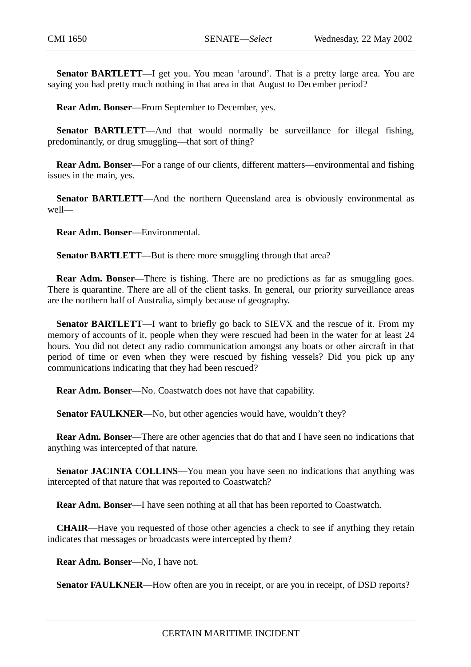**Senator BARTLETT**—I get you. You mean 'around'. That is a pretty large area. You are saying you had pretty much nothing in that area in that August to December period?

**Rear Adm. Bonser**—From September to December, yes.

**Senator BARTLETT**—And that would normally be surveillance for illegal fishing, predominantly, or drug smuggling—that sort of thing?

**Rear Adm. Bonser**—For a range of our clients, different matters—environmental and fishing issues in the main, yes.

**Senator BARTLETT**—And the northern Queensland area is obviously environmental as well—

**Rear Adm. Bonser**—Environmental.

**Senator BARTLETT**—But is there more smuggling through that area?

**Rear Adm. Bonser—There is fishing. There are no predictions as far as smuggling goes.** There is quarantine. There are all of the client tasks. In general, our priority surveillance areas are the northern half of Australia, simply because of geography.

**Senator BARTLETT—I** want to briefly go back to SIEVX and the rescue of it. From my memory of accounts of it, people when they were rescued had been in the water for at least 24 hours. You did not detect any radio communication amongst any boats or other aircraft in that period of time or even when they were rescued by fishing vessels? Did you pick up any communications indicating that they had been rescued?

**Rear Adm. Bonser**—No. Coastwatch does not have that capability.

**Senator FAULKNER—No, but other agencies would have, wouldn't they?** 

**Rear Adm. Bonser**—There are other agencies that do that and I have seen no indications that anything was intercepted of that nature.

Senator JACINTA COLLINS—You mean you have seen no indications that anything was intercepted of that nature that was reported to Coastwatch?

**Rear Adm. Bonser**—I have seen nothing at all that has been reported to Coastwatch.

**CHAIR**—Have you requested of those other agencies a check to see if anything they retain indicates that messages or broadcasts were intercepted by them?

**Rear Adm. Bonser**—No, I have not.

**Senator FAULKNER—How often are you in receipt, or are you in receipt, of DSD reports?**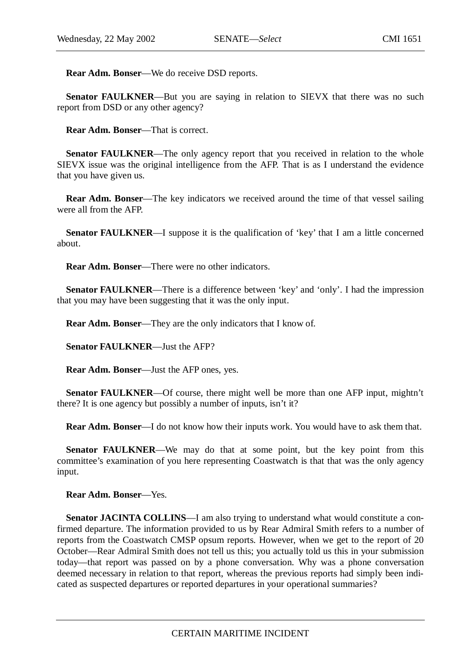**Rear Adm. Bonser**—We do receive DSD reports.

**Senator FAULKNER—But you are saying in relation to SIEVX that there was no such** report from DSD or any other agency?

**Rear Adm. Bonser**—That is correct.

**Senator FAULKNER—The only agency report that you received in relation to the whole** SIEVX issue was the original intelligence from the AFP. That is as I understand the evidence that you have given us.

**Rear Adm. Bonser**—The key indicators we received around the time of that vessel sailing were all from the AFP.

**Senator FAULKNER—I** suppose it is the qualification of 'key' that I am a little concerned about.

**Rear Adm. Bonser**—There were no other indicators.

**Senator FAULKNER—There is a difference between 'key' and 'only'. I had the impression** that you may have been suggesting that it was the only input.

**Rear Adm. Bonser**—They are the only indicators that I know of.

**Senator FAULKNER**—Just the AFP?

**Rear Adm. Bonser**—Just the AFP ones, yes.

**Senator FAULKNER—Of** course, there might well be more than one AFP input, mightn't there? It is one agency but possibly a number of inputs, isn't it?

**Rear Adm. Bonser**—I do not know how their inputs work. You would have to ask them that.

**Senator FAULKNER—We** may do that at some point, but the key point from this committee's examination of you here representing Coastwatch is that that was the only agency input.

**Rear Adm. Bonser**—Yes.

**Senator JACINTA COLLINS**—I am also trying to understand what would constitute a confirmed departure. The information provided to us by Rear Admiral Smith refers to a number of reports from the Coastwatch CMSP opsum reports. However, when we get to the report of 20 October—Rear Admiral Smith does not tell us this; you actually told us this in your submission today—that report was passed on by a phone conversation. Why was a phone conversation deemed necessary in relation to that report, whereas the previous reports had simply been indicated as suspected departures or reported departures in your operational summaries?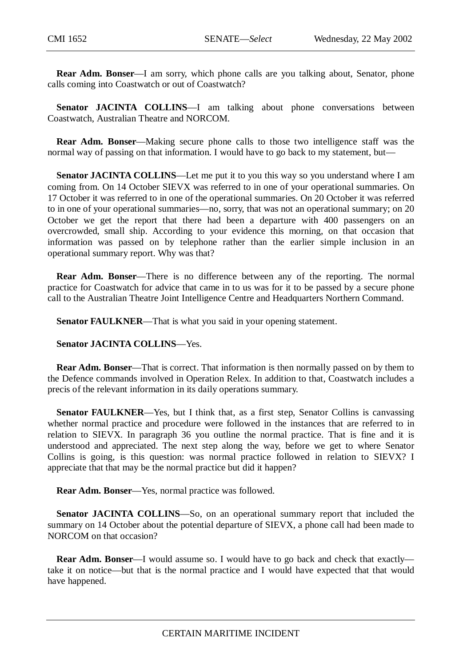**Rear Adm. Bonser**—I am sorry, which phone calls are you talking about, Senator, phone calls coming into Coastwatch or out of Coastwatch?

**Senator JACINTA COLLINS**—I am talking about phone conversations between Coastwatch, Australian Theatre and NORCOM.

**Rear Adm. Bonser**—Making secure phone calls to those two intelligence staff was the normal way of passing on that information. I would have to go back to my statement, but—

**Senator JACINTA COLLINS**—Let me put it to you this way so you understand where I am coming from. On 14 October SIEVX was referred to in one of your operational summaries. On 17 October it was referred to in one of the operational summaries. On 20 October it was referred to in one of your operational summaries—no, sorry, that was not an operational summary; on 20 October we get the report that there had been a departure with 400 passengers on an overcrowded, small ship. According to your evidence this morning, on that occasion that information was passed on by telephone rather than the earlier simple inclusion in an operational summary report. Why was that?

**Rear Adm. Bonser**—There is no difference between any of the reporting. The normal practice for Coastwatch for advice that came in to us was for it to be passed by a secure phone call to the Australian Theatre Joint Intelligence Centre and Headquarters Northern Command.

**Senator FAULKNER—That is what you said in your opening statement.** 

**Senator JACINTA COLLINS**—Yes.

**Rear Adm. Bonser**—That is correct. That information is then normally passed on by them to the Defence commands involved in Operation Relex. In addition to that, Coastwatch includes a precis of the relevant information in its daily operations summary.

**Senator FAULKNER—Yes, but I think that, as a first step, Senator Collins is canvassing** whether normal practice and procedure were followed in the instances that are referred to in relation to SIEVX. In paragraph 36 you outline the normal practice. That is fine and it is understood and appreciated. The next step along the way, before we get to where Senator Collins is going, is this question: was normal practice followed in relation to SIEVX? I appreciate that that may be the normal practice but did it happen?

**Rear Adm. Bonser**—Yes, normal practice was followed.

**Senator JACINTA COLLINS**—So, on an operational summary report that included the summary on 14 October about the potential departure of SIEVX, a phone call had been made to NORCOM on that occasion?

**Rear Adm. Bonser**—I would assume so. I would have to go back and check that exactly take it on notice—but that is the normal practice and I would have expected that that would have happened.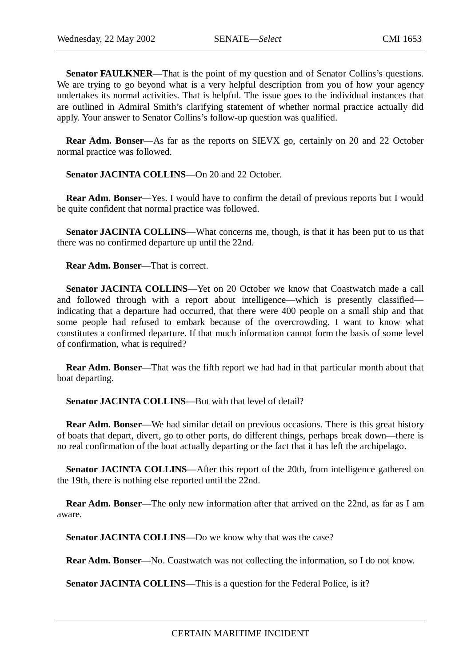**Senator FAULKNER—That is the point of my question and of Senator Collins's questions.** We are trying to go beyond what is a very helpful description from you of how your agency undertakes its normal activities. That is helpful. The issue goes to the individual instances that are outlined in Admiral Smith's clarifying statement of whether normal practice actually did apply. Your answer to Senator Collins's follow-up question was qualified.

**Rear Adm. Bonser**—As far as the reports on SIEVX go, certainly on 20 and 22 October normal practice was followed.

**Senator JACINTA COLLINS**—On 20 and 22 October.

**Rear Adm. Bonser**—Yes. I would have to confirm the detail of previous reports but I would be quite confident that normal practice was followed.

**Senator JACINTA COLLINS—What concerns me, though, is that it has been put to us that** there was no confirmed departure up until the 22nd.

**Rear Adm. Bonser**—That is correct.

**Senator JACINTA COLLINS**—Yet on 20 October we know that Coastwatch made a call and followed through with a report about intelligence—which is presently classified indicating that a departure had occurred, that there were 400 people on a small ship and that some people had refused to embark because of the overcrowding. I want to know what constitutes a confirmed departure. If that much information cannot form the basis of some level of confirmation, what is required?

**Rear Adm. Bonser**—That was the fifth report we had had in that particular month about that boat departing.

**Senator JACINTA COLLINS—But with that level of detail?** 

**Rear Adm. Bonser**—We had similar detail on previous occasions. There is this great history of boats that depart, divert, go to other ports, do different things, perhaps break down—there is no real confirmation of the boat actually departing or the fact that it has left the archipelago.

**Senator JACINTA COLLINS—After this report of the 20th, from intelligence gathered on** the 19th, there is nothing else reported until the 22nd.

**Rear Adm. Bonser**—The only new information after that arrived on the 22nd, as far as I am aware.

**Senator JACINTA COLLINS—Do** we know why that was the case?

**Rear Adm. Bonser**—No. Coastwatch was not collecting the information, so I do not know.

**Senator JACINTA COLLINS—This is a question for the Federal Police, is it?**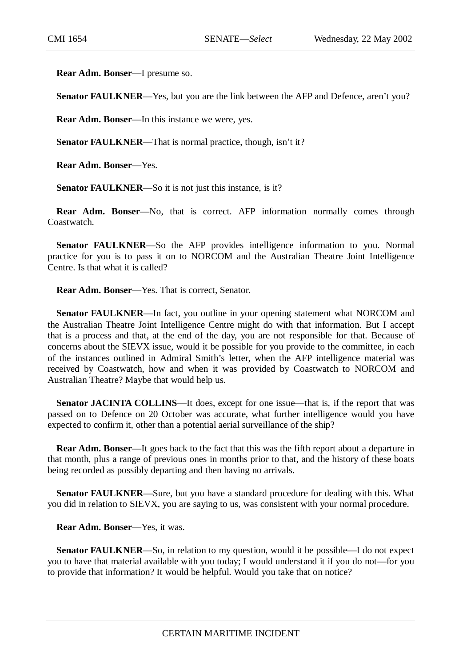**Rear Adm. Bonser**—I presume so.

**Senator FAULKNER**—Yes, but you are the link between the AFP and Defence, aren't you?

**Rear Adm. Bonser**—In this instance we were, yes.

**Senator FAULKNER—That is normal practice, though, isn't it?** 

**Rear Adm. Bonser**—Yes.

**Senator FAULKNER—So** it is not just this instance, is it?

**Rear Adm. Bonser**—No, that is correct. AFP information normally comes through Coastwatch.

**Senator FAULKNER**—So the AFP provides intelligence information to you. Normal practice for you is to pass it on to NORCOM and the Australian Theatre Joint Intelligence Centre. Is that what it is called?

**Rear Adm. Bonser**—Yes. That is correct, Senator.

**Senator FAULKNER—In fact, you outline in your opening statement what NORCOM and** the Australian Theatre Joint Intelligence Centre might do with that information. But I accept that is a process and that, at the end of the day, you are not responsible for that. Because of concerns about the SIEVX issue, would it be possible for you provide to the committee, in each of the instances outlined in Admiral Smith's letter, when the AFP intelligence material was received by Coastwatch, how and when it was provided by Coastwatch to NORCOM and Australian Theatre? Maybe that would help us.

**Senator JACINTA COLLINS—It does, except for one issue—that is, if the report that was** passed on to Defence on 20 October was accurate, what further intelligence would you have expected to confirm it, other than a potential aerial surveillance of the ship?

**Rear Adm. Bonser**—It goes back to the fact that this was the fifth report about a departure in that month, plus a range of previous ones in months prior to that, and the history of these boats being recorded as possibly departing and then having no arrivals.

**Senator FAULKNER**—Sure, but you have a standard procedure for dealing with this. What you did in relation to SIEVX, you are saying to us, was consistent with your normal procedure.

**Rear Adm. Bonser**—Yes, it was.

**Senator FAULKNER—So, in relation to my question, would it be possible—I do not expect** you to have that material available with you today; I would understand it if you do not—for you to provide that information? It would be helpful. Would you take that on notice?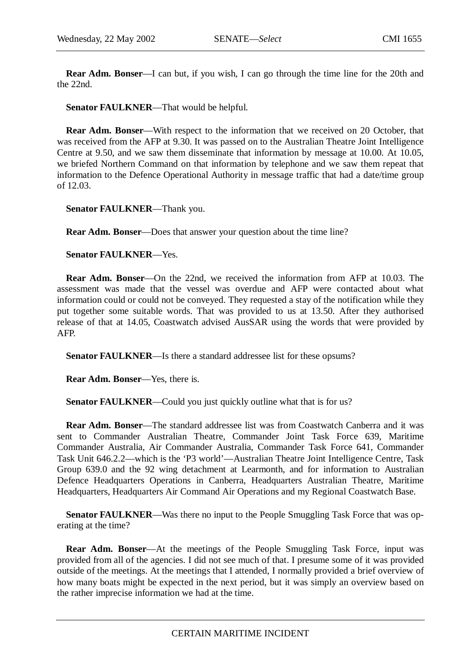**Rear Adm. Bonser**—I can but, if you wish, I can go through the time line for the 20th and the 22nd.

**Senator FAULKNER**—That would be helpful.

**Rear Adm. Bonser**—With respect to the information that we received on 20 October, that was received from the AFP at 9.30. It was passed on to the Australian Theatre Joint Intelligence Centre at 9.50, and we saw them disseminate that information by message at 10.00. At 10.05, we briefed Northern Command on that information by telephone and we saw them repeat that information to the Defence Operational Authority in message traffic that had a date/time group of 12.03.

**Senator FAULKNER**—Thank you.

**Rear Adm. Bonser**—Does that answer your question about the time line?

**Senator FAULKNER**—Yes.

**Rear Adm. Bonser**—On the 22nd, we received the information from AFP at 10.03. The assessment was made that the vessel was overdue and AFP were contacted about what information could or could not be conveyed. They requested a stay of the notification while they put together some suitable words. That was provided to us at 13.50. After they authorised release of that at 14.05, Coastwatch advised AusSAR using the words that were provided by AFP.

**Senator FAULKNER**—Is there a standard addressee list for these opsums?

**Rear Adm. Bonser**—Yes, there is.

**Senator FAULKNER**—Could you just quickly outline what that is for us?

**Rear Adm. Bonser**—The standard addressee list was from Coastwatch Canberra and it was sent to Commander Australian Theatre, Commander Joint Task Force 639, Maritime Commander Australia, Air Commander Australia, Commander Task Force 641, Commander Task Unit 646.2.2—which is the 'P3 world'—Australian Theatre Joint Intelligence Centre, Task Group 639.0 and the 92 wing detachment at Learmonth, and for information to Australian Defence Headquarters Operations in Canberra, Headquarters Australian Theatre, Maritime Headquarters, Headquarters Air Command Air Operations and my Regional Coastwatch Base.

**Senator FAULKNER—Was there no input to the People Smuggling Task Force that was op**erating at the time?

**Rear Adm. Bonser**—At the meetings of the People Smuggling Task Force, input was provided from all of the agencies. I did not see much of that. I presume some of it was provided outside of the meetings. At the meetings that I attended, I normally provided a brief overview of how many boats might be expected in the next period, but it was simply an overview based on the rather imprecise information we had at the time.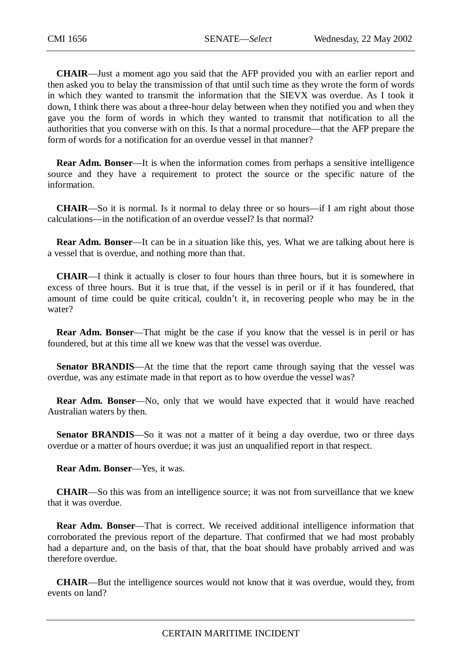**CHAIR**—Just a moment ago you said that the AFP provided you with an earlier report and then asked you to belay the transmission of that until such time as they wrote the form of words in which they wanted to transmit the information that the SIEVX was overdue. As I took it down, I think there was about a three-hour delay between when they notified you and when they gave you the form of words in which they wanted to transmit that notification to all the authorities that you converse with on this. Is that a normal procedure—that the AFP prepare the form of words for a notification for an overdue vessel in that manner?

**Rear Adm. Bonser—It** is when the information comes from perhaps a sensitive intelligence source and they have a requirement to protect the source or the specific nature of the information.

**CHAIR**—So it is normal. Is it normal to delay three or so hours—if I am right about those calculations—in the notification of an overdue vessel? Is that normal?

**Rear Adm. Bonser**—It can be in a situation like this, yes. What we are talking about here is a vessel that is overdue, and nothing more than that.

**CHAIR**—I think it actually is closer to four hours than three hours, but it is somewhere in excess of three hours. But it is true that, if the vessel is in peril or if it has foundered, that amount of time could be quite critical, couldn't it, in recovering people who may be in the water?

**Rear Adm. Bonser**—That might be the case if you know that the vessel is in peril or has foundered, but at this time all we knew was that the vessel was overdue.

**Senator BRANDIS—At** the time that the report came through saying that the vessel was overdue, was any estimate made in that report as to how overdue the vessel was?

**Rear Adm. Bonser**—No, only that we would have expected that it would have reached Australian waters by then.

**Senator BRANDIS**—So it was not a matter of it being a day overdue, two or three days overdue or a matter of hours overdue; it was just an unqualified report in that respect.

**Rear Adm. Bonser**—Yes, it was.

**CHAIR**—So this was from an intelligence source; it was not from surveillance that we knew that it was overdue.

**Rear Adm. Bonser—That is correct. We received additional intelligence information that** corroborated the previous report of the departure. That confirmed that we had most probably had a departure and, on the basis of that, that the boat should have probably arrived and was therefore overdue.

**CHAIR**—But the intelligence sources would not know that it was overdue, would they, from events on land?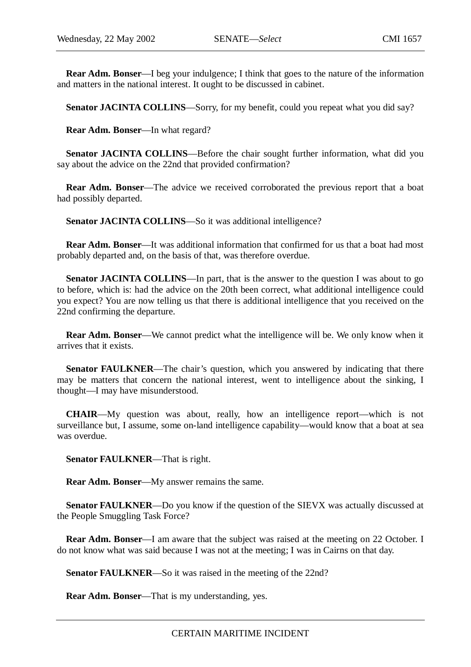**Rear Adm. Bonser**—I beg your indulgence; I think that goes to the nature of the information and matters in the national interest. It ought to be discussed in cabinet.

Senator JACINTA COLLINS—Sorry, for my benefit, could you repeat what you did say?

**Rear Adm. Bonser**—In what regard?

**Senator JACINTA COLLINS**—Before the chair sought further information, what did you say about the advice on the 22nd that provided confirmation?

**Rear Adm. Bonser**—The advice we received corroborated the previous report that a boat had possibly departed.

Senator JACINTA COLLINS—So it was additional intelligence?

**Rear Adm. Bonser**—It was additional information that confirmed for us that a boat had most probably departed and, on the basis of that, was therefore overdue.

**Senator JACINTA COLLINS—In part, that is the answer to the question I was about to go** to before, which is: had the advice on the 20th been correct, what additional intelligence could you expect? You are now telling us that there is additional intelligence that you received on the 22nd confirming the departure.

**Rear Adm. Bonser**—We cannot predict what the intelligence will be. We only know when it arrives that it exists.

**Senator FAULKNER—The chair's question, which you answered by indicating that there** may be matters that concern the national interest, went to intelligence about the sinking, I thought—I may have misunderstood.

**CHAIR**—My question was about, really, how an intelligence report—which is not surveillance but, I assume, some on-land intelligence capability—would know that a boat at sea was overdue.

**Senator FAULKNER**—That is right.

**Rear Adm. Bonser**—My answer remains the same.

**Senator FAULKNER—Do** you know if the question of the SIEVX was actually discussed at the People Smuggling Task Force?

**Rear Adm. Bonser**—I am aware that the subject was raised at the meeting on 22 October. I do not know what was said because I was not at the meeting; I was in Cairns on that day.

**Senator FAULKNER—So it was raised in the meeting of the 22nd?** 

**Rear Adm. Bonser**—That is my understanding, yes.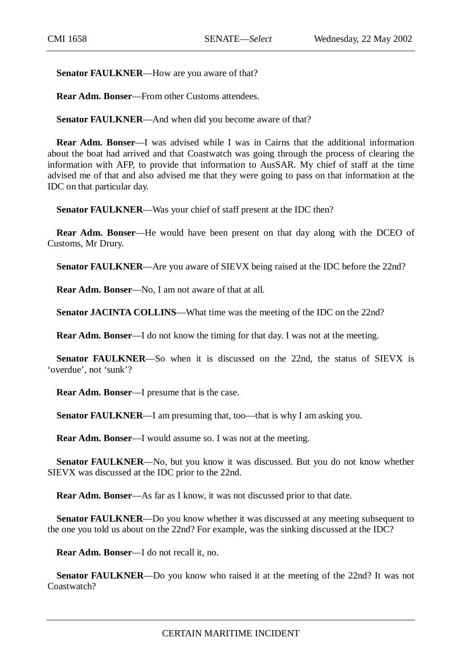**Senator FAULKNER**—How are you aware of that?

**Rear Adm. Bonser**—From other Customs attendees.

**Senator FAULKNER—And when did you become aware of that?** 

**Rear Adm. Bonser**—I was advised while I was in Cairns that the additional information about the boat had arrived and that Coastwatch was going through the process of clearing the information with AFP, to provide that information to AusSAR. My chief of staff at the time advised me of that and also advised me that they were going to pass on that information at the IDC on that particular day.

**Senator FAULKNER**—Was your chief of staff present at the IDC then?

**Rear Adm. Bonser**—He would have been present on that day along with the DCEO of Customs, Mr Drury.

**Senator FAULKNER—Are you aware of SIEVX being raised at the IDC before the 22nd?** 

**Rear Adm. Bonser**—No, I am not aware of that at all.

**Senator JACINTA COLLINS—What time was the meeting of the IDC on the 22nd?** 

**Rear Adm. Bonser**—I do not know the timing for that day. I was not at the meeting.

**Senator FAULKNER**—So when it is discussed on the 22nd, the status of SIEVX is 'overdue', not 'sunk'?

**Rear Adm. Bonser**—I presume that is the case.

**Senator FAULKNER**—I am presuming that, too—that is why I am asking you.

**Rear Adm. Bonser**—I would assume so. I was not at the meeting.

**Senator FAULKNER**—No, but you know it was discussed. But you do not know whether SIEVX was discussed at the IDC prior to the 22nd.

**Rear Adm. Bonser**—As far as I know, it was not discussed prior to that date.

**Senator FAULKNER—Do** you know whether it was discussed at any meeting subsequent to the one you told us about on the 22nd? For example, was the sinking discussed at the IDC?

**Rear Adm. Bonser**—I do not recall it, no.

**Senator FAULKNER—Do** you know who raised it at the meeting of the 22nd? It was not Coastwatch?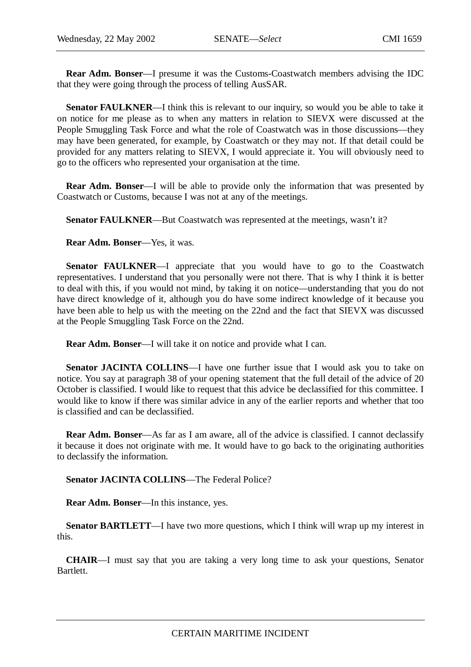**Rear Adm. Bonser**—I presume it was the Customs-Coastwatch members advising the IDC that they were going through the process of telling AusSAR.

**Senator FAULKNER—I** think this is relevant to our inquiry, so would you be able to take it on notice for me please as to when any matters in relation to SIEVX were discussed at the People Smuggling Task Force and what the role of Coastwatch was in those discussions—they may have been generated, for example, by Coastwatch or they may not. If that detail could be provided for any matters relating to SIEVX, I would appreciate it. You will obviously need to go to the officers who represented your organisation at the time.

**Rear Adm. Bonser**—I will be able to provide only the information that was presented by Coastwatch or Customs, because I was not at any of the meetings.

**Senator FAULKNER—But Coastwatch was represented at the meetings, wasn't it?** 

**Rear Adm. Bonser**—Yes, it was.

**Senator FAULKNER—I** appreciate that you would have to go to the Coastwatch representatives. I understand that you personally were not there. That is why I think it is better to deal with this, if you would not mind, by taking it on notice—understanding that you do not have direct knowledge of it, although you do have some indirect knowledge of it because you have been able to help us with the meeting on the 22nd and the fact that SIEVX was discussed at the People Smuggling Task Force on the 22nd.

**Rear Adm. Bonser**—I will take it on notice and provide what I can.

**Senator JACINTA COLLINS**—I have one further issue that I would ask you to take on notice. You say at paragraph 38 of your opening statement that the full detail of the advice of 20 October is classified. I would like to request that this advice be declassified for this committee. I would like to know if there was similar advice in any of the earlier reports and whether that too is classified and can be declassified.

**Rear Adm. Bonser**—As far as I am aware, all of the advice is classified. I cannot declassify it because it does not originate with me. It would have to go back to the originating authorities to declassify the information.

**Senator JACINTA COLLINS**—The Federal Police?

**Rear Adm. Bonser**—In this instance, yes.

**Senator BARTLETT—I** have two more questions, which I think will wrap up my interest in this.

**CHAIR**—I must say that you are taking a very long time to ask your questions, Senator Bartlett.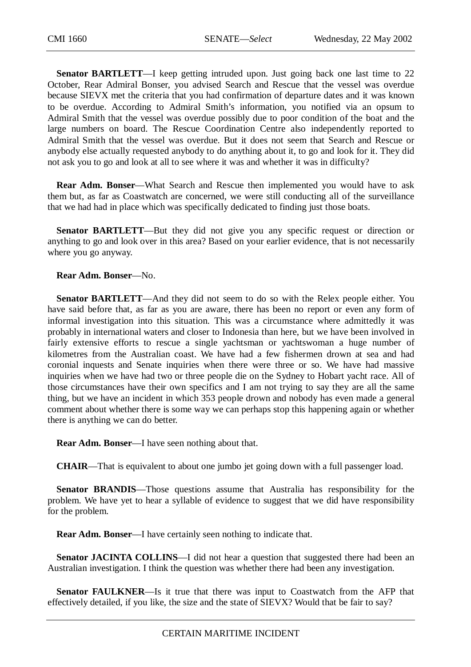**Senator BARTLETT**—I keep getting intruded upon. Just going back one last time to 22 October, Rear Admiral Bonser, you advised Search and Rescue that the vessel was overdue because SIEVX met the criteria that you had confirmation of departure dates and it was known to be overdue. According to Admiral Smith's information, you notified via an opsum to Admiral Smith that the vessel was overdue possibly due to poor condition of the boat and the large numbers on board. The Rescue Coordination Centre also independently reported to Admiral Smith that the vessel was overdue. But it does not seem that Search and Rescue or anybody else actually requested anybody to do anything about it, to go and look for it. They did not ask you to go and look at all to see where it was and whether it was in difficulty?

**Rear Adm. Bonser**—What Search and Rescue then implemented you would have to ask them but, as far as Coastwatch are concerned, we were still conducting all of the surveillance that we had had in place which was specifically dedicated to finding just those boats.

**Senator BARTLETT—But they did not give you any specific request or direction or** anything to go and look over in this area? Based on your earlier evidence, that is not necessarily where you go anyway.

## **Rear Adm. Bonser**—No.

**Senator BARTLETT**—And they did not seem to do so with the Relex people either. You have said before that, as far as you are aware, there has been no report or even any form of informal investigation into this situation. This was a circumstance where admittedly it was probably in international waters and closer to Indonesia than here, but we have been involved in fairly extensive efforts to rescue a single yachtsman or yachtswoman a huge number of kilometres from the Australian coast. We have had a few fishermen drown at sea and had coronial inquests and Senate inquiries when there were three or so. We have had massive inquiries when we have had two or three people die on the Sydney to Hobart yacht race. All of those circumstances have their own specifics and I am not trying to say they are all the same thing, but we have an incident in which 353 people drown and nobody has even made a general comment about whether there is some way we can perhaps stop this happening again or whether there is anything we can do better.

**Rear Adm. Bonser**—I have seen nothing about that.

**CHAIR**—That is equivalent to about one jumbo jet going down with a full passenger load.

**Senator BRANDIS—Those questions assume that Australia has responsibility for the** problem. We have yet to hear a syllable of evidence to suggest that we did have responsibility for the problem.

**Rear Adm. Bonser**—I have certainly seen nothing to indicate that.

**Senator JACINTA COLLINS**—I did not hear a question that suggested there had been an Australian investigation. I think the question was whether there had been any investigation.

**Senator FAULKNER**—Is it true that there was input to Coastwatch from the AFP that effectively detailed, if you like, the size and the state of SIEVX? Would that be fair to say?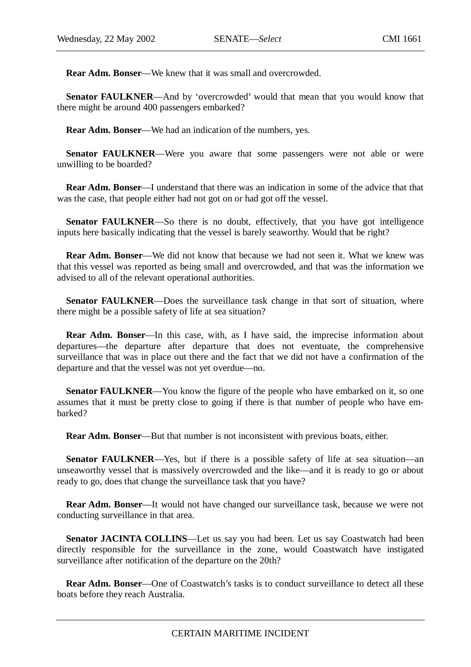**Rear Adm. Bonser**—We knew that it was small and overcrowded.

**Senator FAULKNER—And by 'overcrowded' would that mean that you would know that** there might be around 400 passengers embarked?

**Rear Adm. Bonser**—We had an indication of the numbers, yes.

**Senator FAULKNER—Were** you aware that some passengers were not able or were unwilling to be boarded?

**Rear Adm. Bonser**—I understand that there was an indication in some of the advice that that was the case, that people either had not got on or had got off the vessel.

**Senator FAULKNER**—So there is no doubt, effectively, that you have got intelligence inputs here basically indicating that the vessel is barely seaworthy. Would that be right?

**Rear Adm. Bonser**—We did not know that because we had not seen it. What we knew was that this vessel was reported as being small and overcrowded, and that was the information we advised to all of the relevant operational authorities.

**Senator FAULKNER—Does** the surveillance task change in that sort of situation, where there might be a possible safety of life at sea situation?

**Rear Adm. Bonser**—In this case, with, as I have said, the imprecise information about departures—the departure after departure that does not eventuate, the comprehensive surveillance that was in place out there and the fact that we did not have a confirmation of the departure and that the vessel was not yet overdue—no.

**Senator FAULKNER—You know the figure of the people who have embarked on it, so one** assumes that it must be pretty close to going if there is that number of people who have embarked?

**Rear Adm. Bonser**—But that number is not inconsistent with previous boats, either.

**Senator FAULKNER—Yes, but if there is a possible safety of life at sea situation—an** unseaworthy vessel that is massively overcrowded and the like—and it is ready to go or about ready to go, does that change the surveillance task that you have?

**Rear Adm. Bonser**—It would not have changed our surveillance task, because we were not conducting surveillance in that area.

**Senator JACINTA COLLINS**—Let us say you had been. Let us say Coastwatch had been directly responsible for the surveillance in the zone, would Coastwatch have instigated surveillance after notification of the departure on the 20th?

**Rear Adm. Bonser**—One of Coastwatch's tasks is to conduct surveillance to detect all these boats before they reach Australia.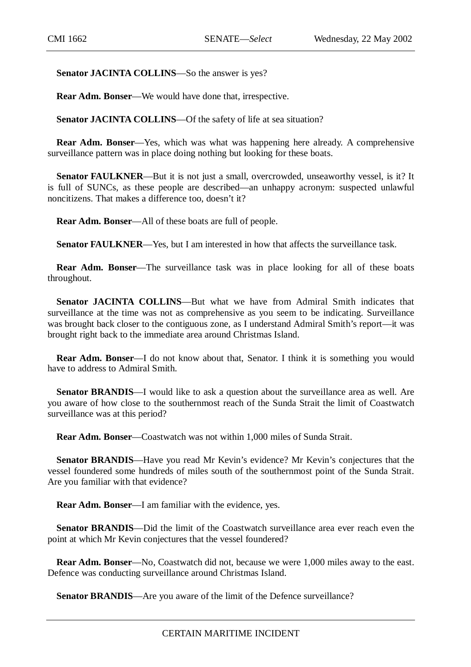Senator JACINTA COLLINS—So the answer is yes?

**Rear Adm. Bonser**—We would have done that, irrespective.

Senator JACINTA COLLINS—Of the safety of life at sea situation?

**Rear Adm. Bonser**—Yes, which was what was happening here already. A comprehensive surveillance pattern was in place doing nothing but looking for these boats.

**Senator FAULKNER—But it is not just a small, overcrowded, unseaworthy vessel, is it?** It is full of SUNCs, as these people are described—an unhappy acronym: suspected unlawful noncitizens. That makes a difference too, doesn't it?

**Rear Adm. Bonser**—All of these boats are full of people.

**Senator FAULKNER—Yes, but I am interested in how that affects the surveillance task.** 

**Rear Adm. Bonser**—The surveillance task was in place looking for all of these boats throughout.

**Senator JACINTA COLLINS**—But what we have from Admiral Smith indicates that surveillance at the time was not as comprehensive as you seem to be indicating. Surveillance was brought back closer to the contiguous zone, as I understand Admiral Smith's report—it was brought right back to the immediate area around Christmas Island.

**Rear Adm. Bonser—I** do not know about that, Senator. I think it is something you would have to address to Admiral Smith.

**Senator BRANDIS**—I would like to ask a question about the surveillance area as well. Are you aware of how close to the southernmost reach of the Sunda Strait the limit of Coastwatch surveillance was at this period?

**Rear Adm. Bonser**—Coastwatch was not within 1,000 miles of Sunda Strait.

**Senator BRANDIS**—Have you read Mr Kevin's evidence? Mr Kevin's conjectures that the vessel foundered some hundreds of miles south of the southernmost point of the Sunda Strait. Are you familiar with that evidence?

**Rear Adm. Bonser**—I am familiar with the evidence, yes.

**Senator BRANDIS**—Did the limit of the Coastwatch surveillance area ever reach even the point at which Mr Kevin conjectures that the vessel foundered?

**Rear Adm. Bonser**—No, Coastwatch did not, because we were 1,000 miles away to the east. Defence was conducting surveillance around Christmas Island.

**Senator BRANDIS**—Are you aware of the limit of the Defence surveillance?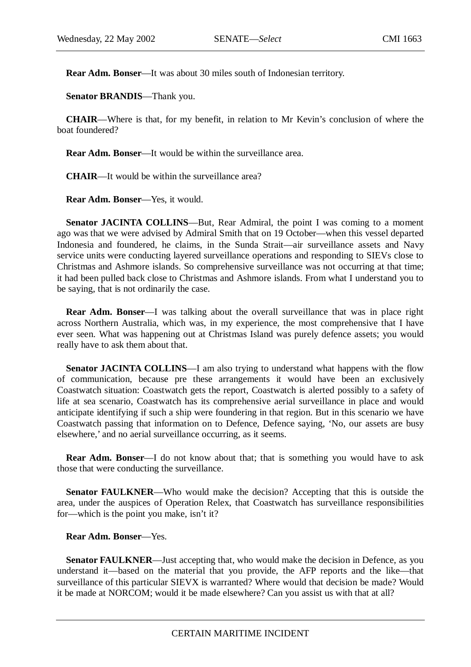**Rear Adm. Bonser**—It was about 30 miles south of Indonesian territory.

**Senator BRANDIS**—Thank you.

**CHAIR**—Where is that, for my benefit, in relation to Mr Kevin's conclusion of where the boat foundered?

**Rear Adm. Bonser**—It would be within the surveillance area.

**CHAIR**—It would be within the surveillance area?

**Rear Adm. Bonser**—Yes, it would.

**Senator JACINTA COLLINS—But, Rear Admiral, the point I was coming to a moment** ago was that we were advised by Admiral Smith that on 19 October—when this vessel departed Indonesia and foundered, he claims, in the Sunda Strait—air surveillance assets and Navy service units were conducting layered surveillance operations and responding to SIEVs close to Christmas and Ashmore islands. So comprehensive surveillance was not occurring at that time; it had been pulled back close to Christmas and Ashmore islands. From what I understand you to be saying, that is not ordinarily the case.

**Rear Adm. Bonser**—I was talking about the overall surveillance that was in place right across Northern Australia, which was, in my experience, the most comprehensive that I have ever seen. What was happening out at Christmas Island was purely defence assets; you would really have to ask them about that.

**Senator JACINTA COLLINS**—I am also trying to understand what happens with the flow of communication, because pre these arrangements it would have been an exclusively Coastwatch situation: Coastwatch gets the report, Coastwatch is alerted possibly to a safety of life at sea scenario, Coastwatch has its comprehensive aerial surveillance in place and would anticipate identifying if such a ship were foundering in that region. But in this scenario we have Coastwatch passing that information on to Defence, Defence saying, 'No, our assets are busy elsewhere,' and no aerial surveillance occurring, as it seems.

**Rear Adm. Bonser**—I do not know about that; that is something you would have to ask those that were conducting the surveillance.

**Senator FAULKNER—Who would make the decision? Accepting that this is outside the** area, under the auspices of Operation Relex, that Coastwatch has surveillance responsibilities for—which is the point you make, isn't it?

**Rear Adm. Bonser**—Yes.

**Senator FAULKNER—Just accepting that, who would make the decision in Defence, as you** understand it—based on the material that you provide, the AFP reports and the like—that surveillance of this particular SIEVX is warranted? Where would that decision be made? Would it be made at NORCOM; would it be made elsewhere? Can you assist us with that at all?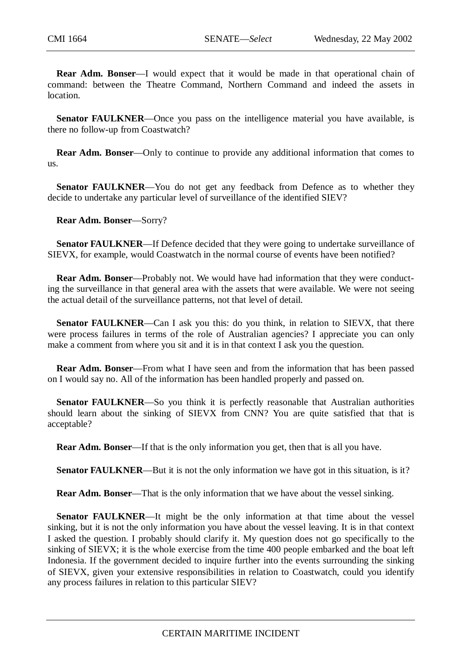**Rear Adm. Bonser**—I would expect that it would be made in that operational chain of command: between the Theatre Command, Northern Command and indeed the assets in location.

**Senator FAULKNER—Once** you pass on the intelligence material you have available, is there no follow-up from Coastwatch?

**Rear Adm. Bonser**—Only to continue to provide any additional information that comes to us.

**Senator FAULKNER**—You do not get any feedback from Defence as to whether they decide to undertake any particular level of surveillance of the identified SIEV?

**Rear Adm. Bonser**—Sorry?

**Senator FAULKNER—If Defence decided that they were going to undertake surveillance of** SIEVX, for example, would Coastwatch in the normal course of events have been notified?

**Rear Adm. Bonser**—Probably not. We would have had information that they were conducting the surveillance in that general area with the assets that were available. We were not seeing the actual detail of the surveillance patterns, not that level of detail.

**Senator FAULKNER—Can I ask you this: do you think, in relation to SIEVX, that there** were process failures in terms of the role of Australian agencies? I appreciate you can only make a comment from where you sit and it is in that context I ask you the question.

**Rear Adm. Bonser**—From what I have seen and from the information that has been passed on I would say no. All of the information has been handled properly and passed on.

**Senator FAULKNER**—So you think it is perfectly reasonable that Australian authorities should learn about the sinking of SIEVX from CNN? You are quite satisfied that that is acceptable?

**Rear Adm. Bonser**—If that is the only information you get, then that is all you have.

**Senator FAULKNER**—But it is not the only information we have got in this situation, is it?

**Rear Adm. Bonser**—That is the only information that we have about the vessel sinking.

**Senator FAULKNER**—It might be the only information at that time about the vessel sinking, but it is not the only information you have about the vessel leaving. It is in that context I asked the question. I probably should clarify it. My question does not go specifically to the sinking of SIEVX; it is the whole exercise from the time 400 people embarked and the boat left Indonesia. If the government decided to inquire further into the events surrounding the sinking of SIEVX, given your extensive responsibilities in relation to Coastwatch, could you identify any process failures in relation to this particular SIEV?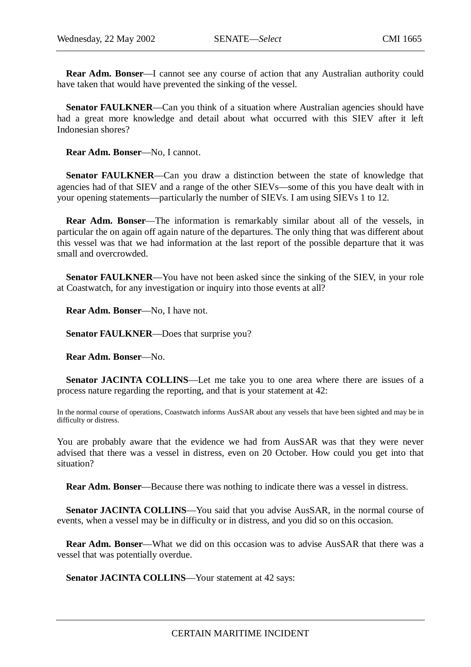**Rear Adm. Bonser**—I cannot see any course of action that any Australian authority could have taken that would have prevented the sinking of the vessel.

**Senator FAULKNER—Can you think of a situation where Australian agencies should have** had a great more knowledge and detail about what occurred with this SIEV after it left Indonesian shores?

**Rear Adm. Bonser**—No, I cannot.

**Senator FAULKNER—Can** you draw a distinction between the state of knowledge that agencies had of that SIEV and a range of the other SIEVs—some of this you have dealt with in your opening statements—particularly the number of SIEVs. I am using SIEVs 1 to 12.

**Rear Adm. Bonser**—The information is remarkably similar about all of the vessels, in particular the on again off again nature of the departures. The only thing that was different about this vessel was that we had information at the last report of the possible departure that it was small and overcrowded.

**Senator FAULKNER—You** have not been asked since the sinking of the SIEV, in your role at Coastwatch, for any investigation or inquiry into those events at all?

**Rear Adm. Bonser**—No, I have not.

**Senator FAULKNER**—Does that surprise you?

**Rear Adm. Bonser**—No.

**Senator JACINTA COLLINS**—Let me take you to one area where there are issues of a process nature regarding the reporting, and that is your statement at 42:

In the normal course of operations, Coastwatch informs AusSAR about any vessels that have been sighted and may be in difficulty or distress.

You are probably aware that the evidence we had from AusSAR was that they were never advised that there was a vessel in distress, even on 20 October. How could you get into that situation?

**Rear Adm. Bonser**—Because there was nothing to indicate there was a vessel in distress.

**Senator JACINTA COLLINS—You said that you advise AusSAR, in the normal course of** events, when a vessel may be in difficulty or in distress, and you did so on this occasion.

**Rear Adm. Bonser**—What we did on this occasion was to advise AusSAR that there was a vessel that was potentially overdue.

**Senator JACINTA COLLINS—Your statement at 42 says:**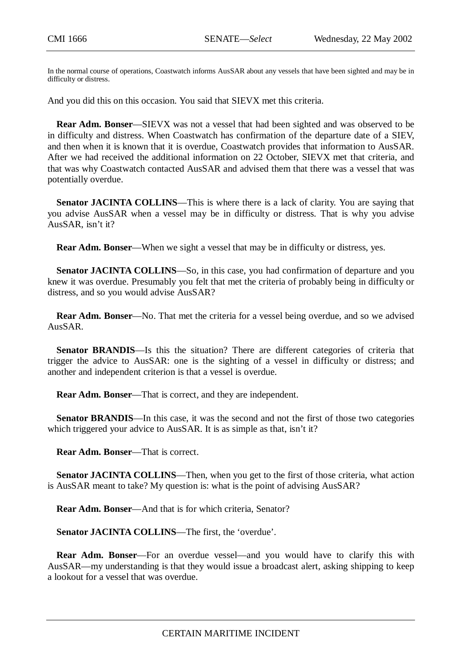In the normal course of operations, Coastwatch informs AusSAR about any vessels that have been sighted and may be in difficulty or distress.

And you did this on this occasion. You said that SIEVX met this criteria.

**Rear Adm. Bonser**—SIEVX was not a vessel that had been sighted and was observed to be in difficulty and distress. When Coastwatch has confirmation of the departure date of a SIEV, and then when it is known that it is overdue, Coastwatch provides that information to AusSAR. After we had received the additional information on 22 October, SIEVX met that criteria, and that was why Coastwatch contacted AusSAR and advised them that there was a vessel that was potentially overdue.

**Senator JACINTA COLLINS—This is where there is a lack of clarity. You are saying that** you advise AusSAR when a vessel may be in difficulty or distress. That is why you advise AusSAR, isn't it?

**Rear Adm. Bonser**—When we sight a vessel that may be in difficulty or distress, yes.

**Senator JACINTA COLLINS**—So, in this case, you had confirmation of departure and you knew it was overdue. Presumably you felt that met the criteria of probably being in difficulty or distress, and so you would advise AusSAR?

**Rear Adm. Bonser**—No. That met the criteria for a vessel being overdue, and so we advised AusSAR.

**Senator BRANDIS—Is** this the situation? There are different categories of criteria that trigger the advice to AusSAR: one is the sighting of a vessel in difficulty or distress; and another and independent criterion is that a vessel is overdue.

**Rear Adm. Bonser**—That is correct, and they are independent.

**Senator BRANDIS**—In this case, it was the second and not the first of those two categories which triggered your advice to AusSAR. It is as simple as that, isn't it?

**Rear Adm. Bonser**—That is correct.

**Senator JACINTA COLLINS**—Then, when you get to the first of those criteria, what action is AusSAR meant to take? My question is: what is the point of advising AusSAR?

**Rear Adm. Bonser**—And that is for which criteria, Senator?

**Senator JACINTA COLLINS**—The first, the 'overdue'.

**Rear Adm. Bonser**—For an overdue vessel—and you would have to clarify this with AusSAR—my understanding is that they would issue a broadcast alert, asking shipping to keep a lookout for a vessel that was overdue.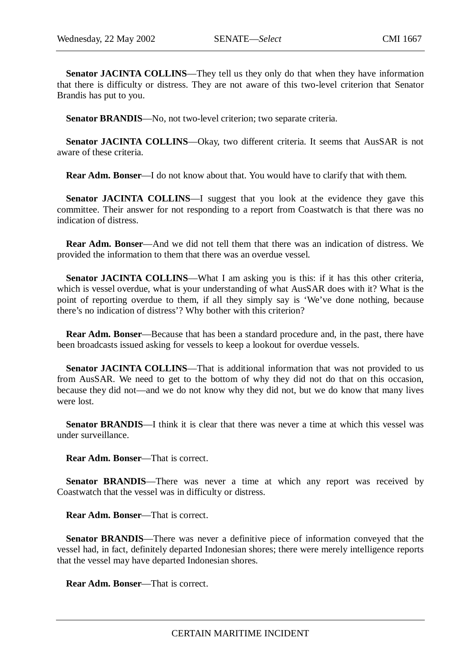**Senator JACINTA COLLINS**—They tell us they only do that when they have information that there is difficulty or distress. They are not aware of this two-level criterion that Senator Brandis has put to you.

**Senator BRANDIS**—No, not two-level criterion; two separate criteria.

**Senator JACINTA COLLINS—Okay, two different criteria. It seems that AusSAR is not** aware of these criteria.

**Rear Adm. Bonser—I** do not know about that. You would have to clarify that with them.

**Senator JACINTA COLLINS**—I suggest that you look at the evidence they gave this committee. Their answer for not responding to a report from Coastwatch is that there was no indication of distress.

**Rear Adm. Bonser**—And we did not tell them that there was an indication of distress. We provided the information to them that there was an overdue vessel.

**Senator JACINTA COLLINS—What I am asking you is this: if it has this other criteria,** which is vessel overdue, what is your understanding of what AusSAR does with it? What is the point of reporting overdue to them, if all they simply say is 'We've done nothing, because there's no indication of distress'? Why bother with this criterion?

**Rear Adm. Bonser**—Because that has been a standard procedure and, in the past, there have been broadcasts issued asking for vessels to keep a lookout for overdue vessels.

**Senator JACINTA COLLINS**—That is additional information that was not provided to us from AusSAR. We need to get to the bottom of why they did not do that on this occasion, because they did not—and we do not know why they did not, but we do know that many lives were lost.

**Senator BRANDIS**—I think it is clear that there was never a time at which this vessel was under surveillance.

**Rear Adm. Bonser**—That is correct.

**Senator BRANDIS**—There was never a time at which any report was received by Coastwatch that the vessel was in difficulty or distress.

**Rear Adm. Bonser**—That is correct.

**Senator BRANDIS**—There was never a definitive piece of information conveyed that the vessel had, in fact, definitely departed Indonesian shores; there were merely intelligence reports that the vessel may have departed Indonesian shores.

**Rear Adm. Bonser**—That is correct.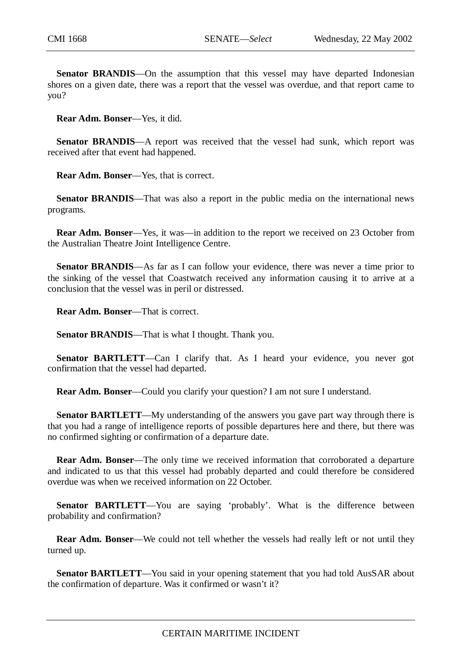**Senator BRANDIS**—On the assumption that this vessel may have departed Indonesian shores on a given date, there was a report that the vessel was overdue, and that report came to you?

**Rear Adm. Bonser**—Yes, it did.

**Senator BRANDIS—A** report was received that the vessel had sunk, which report was received after that event had happened.

**Rear Adm. Bonser**—Yes, that is correct.

**Senator BRANDIS**—That was also a report in the public media on the international news programs.

**Rear Adm. Bonser—Yes, it was—in addition to the report we received on 23 October from** the Australian Theatre Joint Intelligence Centre.

**Senator BRANDIS**—As far as I can follow your evidence, there was never a time prior to the sinking of the vessel that Coastwatch received any information causing it to arrive at a conclusion that the vessel was in peril or distressed.

**Rear Adm. Bonser**—That is correct.

**Senator BRANDIS**—That is what I thought. Thank you.

**Senator BARTLETT—Can I clarify that.** As I heard your evidence, you never got confirmation that the vessel had departed.

**Rear Adm. Bonser**—Could you clarify your question? I am not sure I understand.

**Senator BARTLETT**—My understanding of the answers you gave part way through there is that you had a range of intelligence reports of possible departures here and there, but there was no confirmed sighting or confirmation of a departure date.

**Rear Adm. Bonser—The only time we received information that corroborated a departure** and indicated to us that this vessel had probably departed and could therefore be considered overdue was when we received information on 22 October.

**Senator BARTLETT—You** are saying 'probably'. What is the difference between probability and confirmation?

**Rear Adm. Bonser**—We could not tell whether the vessels had really left or not until they turned up.

**Senator BARTLETT**—You said in your opening statement that you had told AusSAR about the confirmation of departure. Was it confirmed or wasn't it?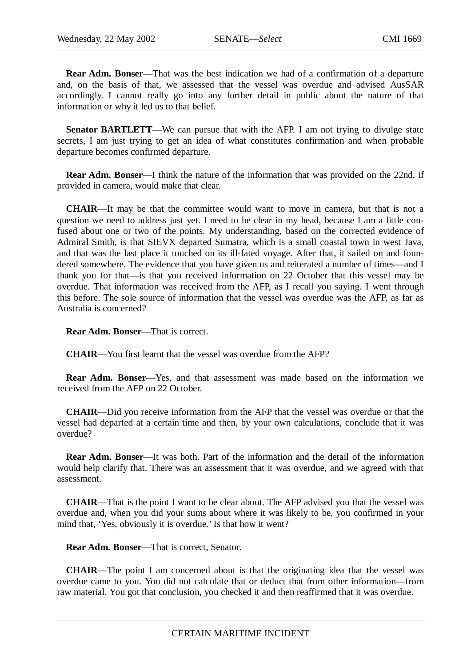**Rear Adm. Bonser**—That was the best indication we had of a confirmation of a departure and, on the basis of that, we assessed that the vessel was overdue and advised AusSAR accordingly. I cannot really go into any further detail in public about the nature of that information or why it led us to that belief.

**Senator BARTLETT—We can pursue that with the AFP. I am not trying to divulge state** secrets, I am just trying to get an idea of what constitutes confirmation and when probable departure becomes confirmed departure.

**Rear Adm. Bonser**—I think the nature of the information that was provided on the 22nd, if provided in camera, would make that clear.

**CHAIR**—It may be that the committee would want to move in camera, but that is not a question we need to address just yet. I need to be clear in my head, because I am a little confused about one or two of the points. My understanding, based on the corrected evidence of Admiral Smith, is that SIEVX departed Sumatra, which is a small coastal town in west Java, and that was the last place it touched on its ill-fated voyage. After that, it sailed on and foundered somewhere. The evidence that you have given us and reiterated a number of times—and I thank you for that—is that you received information on 22 October that this vessel may be overdue. That information was received from the AFP, as I recall you saying. I went through this before. The sole source of information that the vessel was overdue was the AFP, as far as Australia is concerned?

**Rear Adm. Bonser**—That is correct.

**CHAIR**—You first learnt that the vessel was overdue from the AFP?

**Rear Adm. Bonser**—Yes, and that assessment was made based on the information we received from the AFP on 22 October.

**CHAIR**—Did you receive information from the AFP that the vessel was overdue or that the vessel had departed at a certain time and then, by your own calculations, conclude that it was overdue?

**Rear Adm. Bonser**—It was both. Part of the information and the detail of the information would help clarify that. There was an assessment that it was overdue, and we agreed with that assessment.

**CHAIR**—That is the point I want to be clear about. The AFP advised you that the vessel was overdue and, when you did your sums about where it was likely to be, you confirmed in your mind that, 'Yes, obviously it is overdue.' Is that how it went?

**Rear Adm. Bonser**—That is correct, Senator.

**CHAIR**—The point I am concerned about is that the originating idea that the vessel was overdue came to you. You did not calculate that or deduct that from other information—from raw material. You got that conclusion, you checked it and then reaffirmed that it was overdue.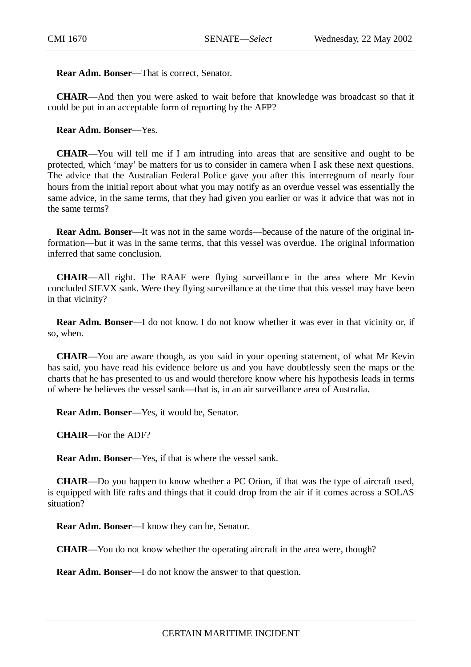**Rear Adm. Bonser**—That is correct, Senator.

**CHAIR**—And then you were asked to wait before that knowledge was broadcast so that it could be put in an acceptable form of reporting by the AFP?

**Rear Adm. Bonser**—Yes.

**CHAIR**—You will tell me if I am intruding into areas that are sensitive and ought to be protected, which 'may' be matters for us to consider in camera when I ask these next questions. The advice that the Australian Federal Police gave you after this interregnum of nearly four hours from the initial report about what you may notify as an overdue vessel was essentially the same advice, in the same terms, that they had given you earlier or was it advice that was not in the same terms?

**Rear Adm. Bonser**—It was not in the same words—because of the nature of the original information—but it was in the same terms, that this vessel was overdue. The original information inferred that same conclusion.

**CHAIR**—All right. The RAAF were flying surveillance in the area where Mr Kevin concluded SIEVX sank. Were they flying surveillance at the time that this vessel may have been in that vicinity?

**Rear Adm. Bonser**—I do not know. I do not know whether it was ever in that vicinity or, if so, when.

**CHAIR**—You are aware though, as you said in your opening statement, of what Mr Kevin has said, you have read his evidence before us and you have doubtlessly seen the maps or the charts that he has presented to us and would therefore know where his hypothesis leads in terms of where he believes the vessel sank—that is, in an air surveillance area of Australia.

**Rear Adm. Bonser**—Yes, it would be, Senator.

**CHAIR**—For the ADF?

**Rear Adm. Bonser**—Yes, if that is where the vessel sank.

**CHAIR**—Do you happen to know whether a PC Orion, if that was the type of aircraft used, is equipped with life rafts and things that it could drop from the air if it comes across a SOLAS situation?

**Rear Adm. Bonser**—I know they can be, Senator.

**CHAIR**—You do not know whether the operating aircraft in the area were, though?

**Rear Adm. Bonser**—I do not know the answer to that question.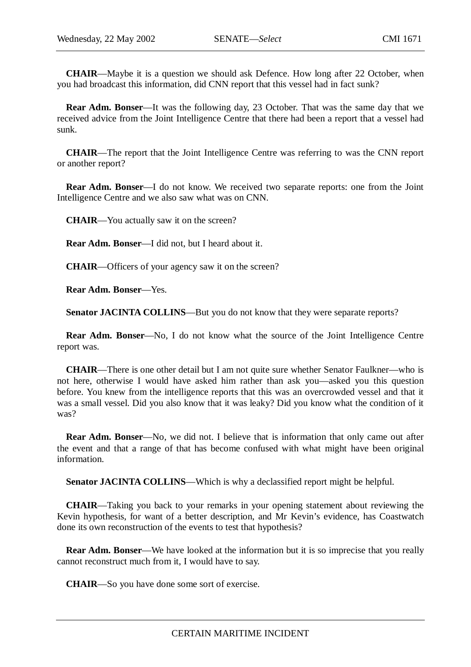**CHAIR**—Maybe it is a question we should ask Defence. How long after 22 October, when you had broadcast this information, did CNN report that this vessel had in fact sunk?

**Rear Adm. Bonser**—It was the following day, 23 October. That was the same day that we received advice from the Joint Intelligence Centre that there had been a report that a vessel had sunk.

**CHAIR**—The report that the Joint Intelligence Centre was referring to was the CNN report or another report?

**Rear Adm. Bonser**—I do not know. We received two separate reports: one from the Joint Intelligence Centre and we also saw what was on CNN.

**CHAIR**—You actually saw it on the screen?

**Rear Adm. Bonser**—I did not, but I heard about it.

**CHAIR**—Officers of your agency saw it on the screen?

**Rear Adm. Bonser**—Yes.

**Senator JACINTA COLLINS—But you do not know that they were separate reports?** 

**Rear Adm. Bonser**—No, I do not know what the source of the Joint Intelligence Centre report was.

**CHAIR**—There is one other detail but I am not quite sure whether Senator Faulkner—who is not here, otherwise I would have asked him rather than ask you—asked you this question before. You knew from the intelligence reports that this was an overcrowded vessel and that it was a small vessel. Did you also know that it was leaky? Did you know what the condition of it was?

**Rear Adm. Bonser**—No, we did not. I believe that is information that only came out after the event and that a range of that has become confused with what might have been original information.

**Senator JACINTA COLLINS—Which is why a declassified report might be helpful.** 

**CHAIR**—Taking you back to your remarks in your opening statement about reviewing the Kevin hypothesis, for want of a better description, and Mr Kevin's evidence, has Coastwatch done its own reconstruction of the events to test that hypothesis?

**Rear Adm. Bonser**—We have looked at the information but it is so imprecise that you really cannot reconstruct much from it, I would have to say.

**CHAIR**—So you have done some sort of exercise.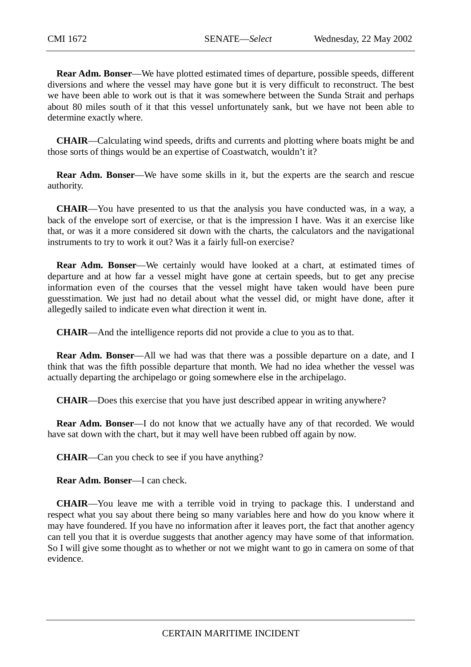**Rear Adm. Bonser**—We have plotted estimated times of departure, possible speeds, different diversions and where the vessel may have gone but it is very difficult to reconstruct. The best we have been able to work out is that it was somewhere between the Sunda Strait and perhaps about 80 miles south of it that this vessel unfortunately sank, but we have not been able to determine exactly where.

**CHAIR**—Calculating wind speeds, drifts and currents and plotting where boats might be and those sorts of things would be an expertise of Coastwatch, wouldn't it?

**Rear Adm. Bonser—We have some skills in it, but the experts are the search and rescue** authority.

**CHAIR**—You have presented to us that the analysis you have conducted was, in a way, a back of the envelope sort of exercise, or that is the impression I have. Was it an exercise like that, or was it a more considered sit down with the charts, the calculators and the navigational instruments to try to work it out? Was it a fairly full-on exercise?

**Rear Adm. Bonser**—We certainly would have looked at a chart, at estimated times of departure and at how far a vessel might have gone at certain speeds, but to get any precise information even of the courses that the vessel might have taken would have been pure guesstimation. We just had no detail about what the vessel did, or might have done, after it allegedly sailed to indicate even what direction it went in.

**CHAIR**—And the intelligence reports did not provide a clue to you as to that.

**Rear Adm. Bonser**—All we had was that there was a possible departure on a date, and I think that was the fifth possible departure that month. We had no idea whether the vessel was actually departing the archipelago or going somewhere else in the archipelago.

**CHAIR**—Does this exercise that you have just described appear in writing anywhere?

**Rear Adm. Bonser—I** do not know that we actually have any of that recorded. We would have sat down with the chart, but it may well have been rubbed off again by now.

**CHAIR**—Can you check to see if you have anything?

**Rear Adm. Bonser**—I can check.

**CHAIR**—You leave me with a terrible void in trying to package this. I understand and respect what you say about there being so many variables here and how do you know where it may have foundered. If you have no information after it leaves port, the fact that another agency can tell you that it is overdue suggests that another agency may have some of that information. So I will give some thought as to whether or not we might want to go in camera on some of that evidence.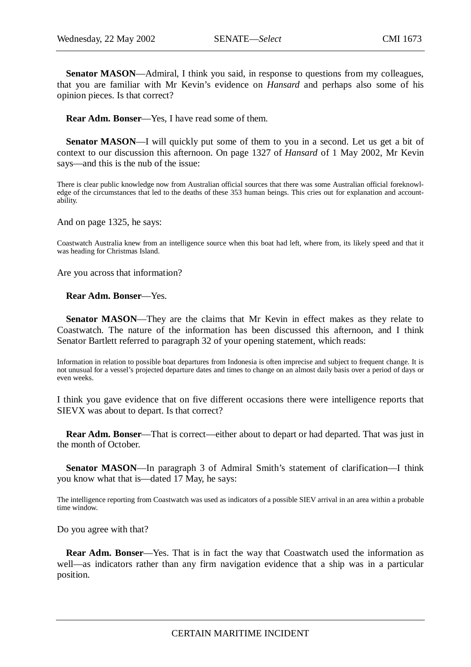Senator MASON—Admiral, I think you said, in response to questions from my colleagues, that you are familiar with Mr Kevin's evidence on *Hansard* and perhaps also some of his opinion pieces. Is that correct?

**Rear Adm. Bonser**—Yes, I have read some of them.

**Senator MASON—I** will quickly put some of them to you in a second. Let us get a bit of context to our discussion this afternoon. On page 1327 of *Hansard* of 1 May 2002, Mr Kevin says—and this is the nub of the issue:

There is clear public knowledge now from Australian official sources that there was some Australian official foreknowledge of the circumstances that led to the deaths of these 353 human beings. This cries out for explanation and accountability.

And on page 1325, he says:

Coastwatch Australia knew from an intelligence source when this boat had left, where from, its likely speed and that it was heading for Christmas Island.

Are you across that information?

**Rear Adm. Bonser**—Yes.

**Senator MASON—They are the claims that Mr Kevin in effect makes as they relate to** Coastwatch. The nature of the information has been discussed this afternoon, and I think Senator Bartlett referred to paragraph 32 of your opening statement, which reads:

Information in relation to possible boat departures from Indonesia is often imprecise and subject to frequent change. It is not unusual for a vessel's projected departure dates and times to change on an almost daily basis over a period of days or even weeks.

I think you gave evidence that on five different occasions there were intelligence reports that SIEVX was about to depart. Is that correct?

**Rear Adm. Bonser**—That is correct—either about to depart or had departed. That was just in the month of October.

**Senator MASON**—In paragraph 3 of Admiral Smith's statement of clarification—I think you know what that is—dated 17 May, he says:

The intelligence reporting from Coastwatch was used as indicators of a possible SIEV arrival in an area within a probable time window.

Do you agree with that?

**Rear Adm. Bonser**—Yes. That is in fact the way that Coastwatch used the information as well—as indicators rather than any firm navigation evidence that a ship was in a particular position.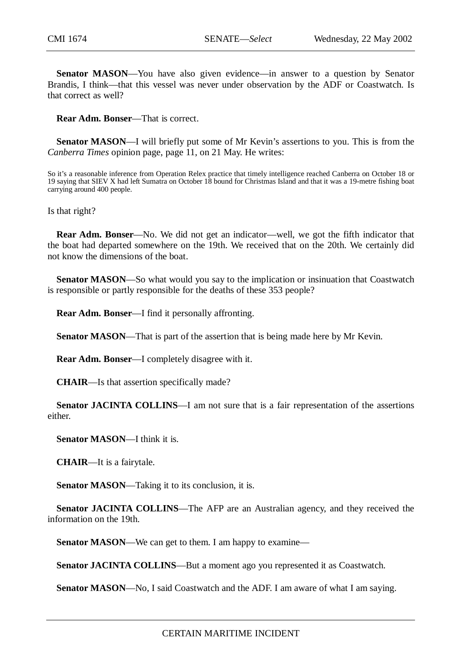**Senator MASON**—You have also given evidence—in answer to a question by Senator Brandis, I think—that this vessel was never under observation by the ADF or Coastwatch. Is that correct as well?

**Rear Adm. Bonser**—That is correct.

**Senator MASON—I** will briefly put some of Mr Kevin's assertions to you. This is from the *Canberra Times* opinion page, page 11, on 21 May. He writes:

So it's a reasonable inference from Operation Relex practice that timely intelligence reached Canberra on October 18 or 19 saying that SIEV X had left Sumatra on October 18 bound for Christmas Island and that it was a 19-metre fishing boat carrying around 400 people.

Is that right?

**Rear Adm. Bonser**—No. We did not get an indicator—well, we got the fifth indicator that the boat had departed somewhere on the 19th. We received that on the 20th. We certainly did not know the dimensions of the boat.

**Senator MASON—So** what would you say to the implication or insinuation that Coastwatch is responsible or partly responsible for the deaths of these 353 people?

**Rear Adm. Bonser**—I find it personally affronting.

**Senator MASON—That is part of the assertion that is being made here by Mr Kevin.** 

**Rear Adm. Bonser**—I completely disagree with it.

**CHAIR**—Is that assertion specifically made?

**Senator JACINTA COLLINS**—I am not sure that is a fair representation of the assertions either.

**Senator MASON**—I think it is.

**CHAIR**—It is a fairytale.

**Senator MASON**—Taking it to its conclusion, it is.

**Senator JACINTA COLLINS**—The AFP are an Australian agency, and they received the information on the 19th.

**Senator MASON—We can get to them. I am happy to examine—** 

**Senator JACINTA COLLINS**—But a moment ago you represented it as Coastwatch.

**Senator MASON—No, I said Coastwatch and the ADF. I am aware of what I am saying.**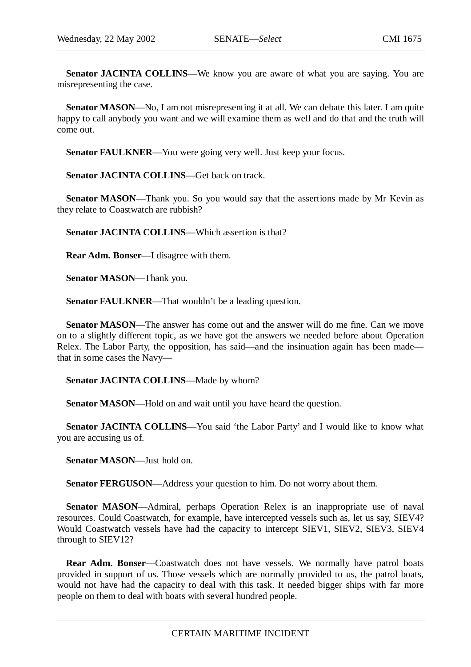**Senator JACINTA COLLINS—We know you are aware of what you are saying. You are** misrepresenting the case.

**Senator MASON—No, I** am not misrepresenting it at all. We can debate this later. I am quite happy to call anybody you want and we will examine them as well and do that and the truth will come out.

Senator FAULKNER—You were going very well. Just keep your focus.

**Senator JACINTA COLLINS**—Get back on track.

**Senator MASON**—Thank you. So you would say that the assertions made by Mr Kevin as they relate to Coastwatch are rubbish?

**Senator JACINTA COLLINS**—Which assertion is that?

**Rear Adm. Bonser**—I disagree with them.

**Senator MASON**—Thank you.

**Senator FAULKNER**—That wouldn't be a leading question.

**Senator MASON**—The answer has come out and the answer will do me fine. Can we move on to a slightly different topic, as we have got the answers we needed before about Operation Relex. The Labor Party, the opposition, has said—and the insinuation again has been made that in some cases the Navy—

**Senator JACINTA COLLINS**—Made by whom?

**Senator MASON**—Hold on and wait until you have heard the question.

**Senator JACINTA COLLINS**—You said 'the Labor Party' and I would like to know what you are accusing us of.

**Senator MASON**—Just hold on.

**Senator FERGUSON**—Address your question to him. Do not worry about them.

**Senator MASON—Admiral, perhaps Operation Relex is an inappropriate use of naval** resources. Could Coastwatch, for example, have intercepted vessels such as, let us say, SIEV4? Would Coastwatch vessels have had the capacity to intercept SIEV1, SIEV2, SIEV3, SIEV4 through to SIEV12?

**Rear Adm. Bonser**—Coastwatch does not have vessels. We normally have patrol boats provided in support of us. Those vessels which are normally provided to us, the patrol boats, would not have had the capacity to deal with this task. It needed bigger ships with far more people on them to deal with boats with several hundred people.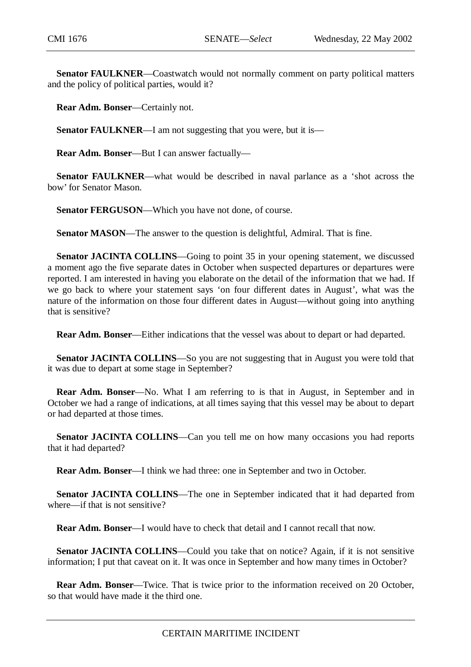**Senator FAULKNER**—Coastwatch would not normally comment on party political matters and the policy of political parties, would it?

**Rear Adm. Bonser**—Certainly not.

**Senator FAULKNER—I** am not suggesting that you were, but it is—

**Rear Adm. Bonser**—But I can answer factually—

**Senator FAULKNER—what would be described in naval parlance as a 'shot across the** bow' for Senator Mason.

**Senator FERGUSON**—Which you have not done, of course.

**Senator MASON—The answer to the question is delightful, Admiral. That is fine.** 

**Senator JACINTA COLLINS—Going to point 35 in your opening statement, we discussed** a moment ago the five separate dates in October when suspected departures or departures were reported. I am interested in having you elaborate on the detail of the information that we had. If we go back to where your statement says 'on four different dates in August', what was the nature of the information on those four different dates in August—without going into anything that is sensitive?

**Rear Adm. Bonser**—Either indications that the vessel was about to depart or had departed.

**Senator JACINTA COLLINS**—So you are not suggesting that in August you were told that it was due to depart at some stage in September?

**Rear Adm. Bonser**—No. What I am referring to is that in August, in September and in October we had a range of indications, at all times saying that this vessel may be about to depart or had departed at those times.

**Senator JACINTA COLLINS**—Can you tell me on how many occasions you had reports that it had departed?

**Rear Adm. Bonser**—I think we had three: one in September and two in October.

**Senator JACINTA COLLINS**—The one in September indicated that it had departed from where—if that is not sensitive?

**Rear Adm. Bonser**—I would have to check that detail and I cannot recall that now.

**Senator JACINTA COLLINS—Could you take that on notice? Again, if it is not sensitive** information; I put that caveat on it. It was once in September and how many times in October?

**Rear Adm. Bonser**—Twice. That is twice prior to the information received on 20 October, so that would have made it the third one.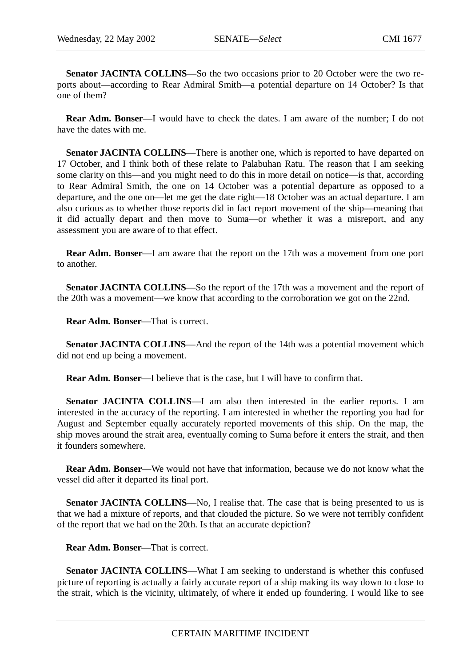**Senator JACINTA COLLINS**—So the two occasions prior to 20 October were the two reports about—according to Rear Admiral Smith—a potential departure on 14 October? Is that one of them?

**Rear Adm. Bonser**—I would have to check the dates. I am aware of the number; I do not have the dates with me.

**Senator JACINTA COLLINS—There is another one, which is reported to have departed on** 17 October, and I think both of these relate to Palabuhan Ratu. The reason that I am seeking some clarity on this—and you might need to do this in more detail on notice—is that, according to Rear Admiral Smith, the one on 14 October was a potential departure as opposed to a departure, and the one on—let me get the date right—18 October was an actual departure. I am also curious as to whether those reports did in fact report movement of the ship—meaning that it did actually depart and then move to Suma—or whether it was a misreport, and any assessment you are aware of to that effect.

**Rear Adm. Bonser**—I am aware that the report on the 17th was a movement from one port to another.

**Senator JACINTA COLLINS**—So the report of the 17th was a movement and the report of the 20th was a movement—we know that according to the corroboration we got on the 22nd.

**Rear Adm. Bonser**—That is correct.

**Senator JACINTA COLLINS—And the report of the 14th was a potential movement which** did not end up being a movement.

**Rear Adm. Bonser**—I believe that is the case, but I will have to confirm that.

**Senator JACINTA COLLINS**—I am also then interested in the earlier reports. I am interested in the accuracy of the reporting. I am interested in whether the reporting you had for August and September equally accurately reported movements of this ship. On the map, the ship moves around the strait area, eventually coming to Suma before it enters the strait, and then it founders somewhere.

**Rear Adm. Bonser**—We would not have that information, because we do not know what the vessel did after it departed its final port.

**Senator JACINTA COLLINS**—No, I realise that. The case that is being presented to us is that we had a mixture of reports, and that clouded the picture. So we were not terribly confident of the report that we had on the 20th. Is that an accurate depiction?

**Rear Adm. Bonser**—That is correct.

**Senator JACINTA COLLINS—What I am seeking to understand is whether this confused** picture of reporting is actually a fairly accurate report of a ship making its way down to close to the strait, which is the vicinity, ultimately, of where it ended up foundering. I would like to see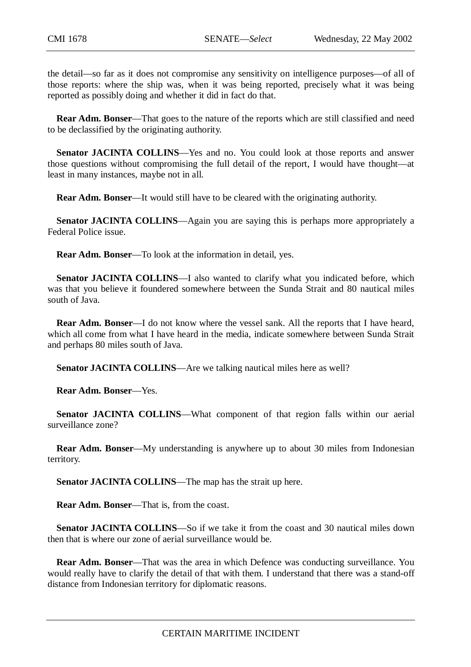the detail—so far as it does not compromise any sensitivity on intelligence purposes—of all of those reports: where the ship was, when it was being reported, precisely what it was being reported as possibly doing and whether it did in fact do that.

**Rear Adm. Bonser**—That goes to the nature of the reports which are still classified and need to be declassified by the originating authority.

**Senator JACINTA COLLINS—Yes and no. You could look at those reports and answer** those questions without compromising the full detail of the report, I would have thought—at least in many instances, maybe not in all.

**Rear Adm. Bonser**—It would still have to be cleared with the originating authority.

**Senator JACINTA COLLINS—Again you are saying this is perhaps more appropriately a** Federal Police issue.

**Rear Adm. Bonser**—To look at the information in detail, yes.

**Senator JACINTA COLLINS**—I also wanted to clarify what you indicated before, which was that you believe it foundered somewhere between the Sunda Strait and 80 nautical miles south of Java.

**Rear Adm. Bonser**—I do not know where the vessel sank. All the reports that I have heard, which all come from what I have heard in the media, indicate somewhere between Sunda Strait and perhaps 80 miles south of Java.

**Senator JACINTA COLLINS—Are we talking nautical miles here as well?** 

**Rear Adm. Bonser**—Yes.

**Senator JACINTA COLLINS—What component of that region falls within our aerial** surveillance zone?

**Rear Adm. Bonser**—My understanding is anywhere up to about 30 miles from Indonesian territory.

**Senator JACINTA COLLINS**—The map has the strait up here.

**Rear Adm. Bonser**—That is, from the coast.

**Senator JACINTA COLLINS**—So if we take it from the coast and 30 nautical miles down then that is where our zone of aerial surveillance would be.

**Rear Adm. Bonser**—That was the area in which Defence was conducting surveillance. You would really have to clarify the detail of that with them. I understand that there was a stand-off distance from Indonesian territory for diplomatic reasons.